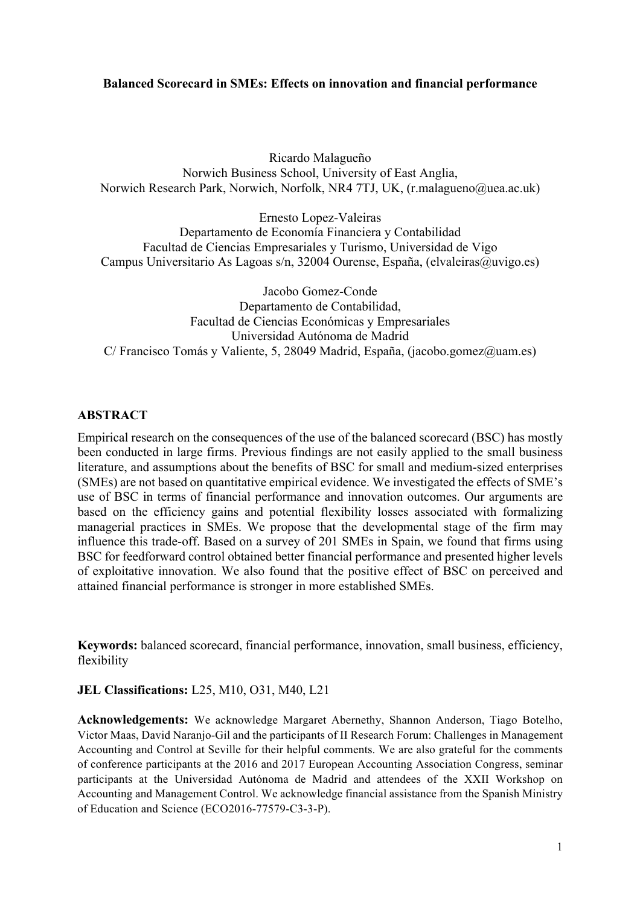# **Balanced Scorecard in SMEs: Effects on innovation and financial performance**

Ricardo Malagueño Norwich Business School, University of East Anglia, Norwich Research Park, Norwich, Norfolk, NR4 7TJ, UK, (r.malagueno@uea.ac.uk)

Ernesto Lopez-Valeiras Departamento de Economía Financiera y Contabilidad Facultad de Ciencias Empresariales y Turismo, Universidad de Vigo Campus Universitario As Lagoas s/n, 32004 Ourense, España, (elvaleiras@uvigo.es)

Jacobo Gomez-Conde Departamento de Contabilidad, Facultad de Ciencias Económicas y Empresariales Universidad Autónoma de Madrid C/ Francisco Tomás y Valiente, 5, 28049 Madrid, España, (jacobo.gomez@uam.es)

# **ABSTRACT**

Empirical research on the consequences of the use of the balanced scorecard (BSC) has mostly been conducted in large firms. Previous findings are not easily applied to the small business literature, and assumptions about the benefits of BSC for small and medium-sized enterprises (SMEs) are not based on quantitative empirical evidence. We investigated the effects of SME's use of BSC in terms of financial performance and innovation outcomes. Our arguments are based on the efficiency gains and potential flexibility losses associated with formalizing managerial practices in SMEs. We propose that the developmental stage of the firm may influence this trade-off. Based on a survey of 201 SMEs in Spain, we found that firms using BSC for feedforward control obtained better financial performance and presented higher levels of exploitative innovation. We also found that the positive effect of BSC on perceived and attained financial performance is stronger in more established SMEs.

**Keywords:** balanced scorecard, financial performance, innovation, small business, efficiency, flexibility

# **JEL Classifications:** L25, M10, O31, M40, L21

**Acknowledgements:** We acknowledge Margaret Abernethy, Shannon Anderson, Tiago Botelho, Victor Maas, David Naranjo-Gil and the participants of II Research Forum: Challenges in Management Accounting and Control at Seville for their helpful comments. We are also grateful for the comments of conference participants at the 2016 and 2017 European Accounting Association Congress, seminar participants at the Universidad Autónoma de Madrid and attendees of the XXII Workshop on Accounting and Management Control. We acknowledge financial assistance from the Spanish Ministry of Education and Science (ECO2016-77579-C3-3-P).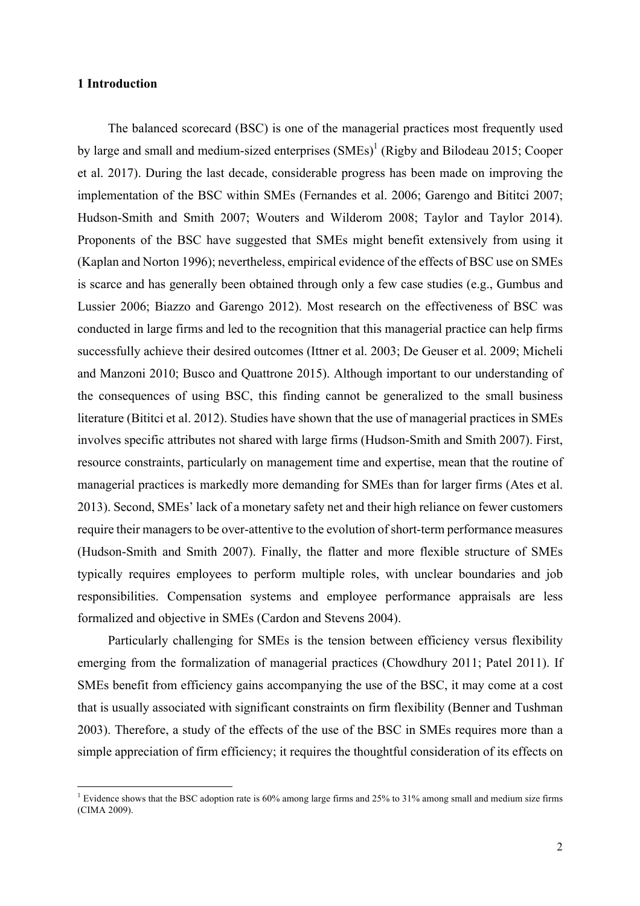### **1 Introduction**

The balanced scorecard (BSC) is one of the managerial practices most frequently used by large and small and medium-sized enterprises  $(SMEs)^{1}$  (Rigby and Bilodeau 2015; Cooper et al. 2017). During the last decade, considerable progress has been made on improving the implementation of the BSC within SMEs (Fernandes et al. 2006; Garengo and Bititci 2007; Hudson-Smith and Smith 2007; Wouters and Wilderom 2008; Taylor and Taylor 2014). Proponents of the BSC have suggested that SMEs might benefit extensively from using it (Kaplan and Norton 1996); nevertheless, empirical evidence of the effects of BSC use on SMEs is scarce and has generally been obtained through only a few case studies (e.g., Gumbus and Lussier 2006; Biazzo and Garengo 2012). Most research on the effectiveness of BSC was conducted in large firms and led to the recognition that this managerial practice can help firms successfully achieve their desired outcomes (Ittner et al. 2003; De Geuser et al. 2009; Micheli and Manzoni 2010; Busco and Quattrone 2015). Although important to our understanding of the consequences of using BSC, this finding cannot be generalized to the small business literature (Bititci et al. 2012). Studies have shown that the use of managerial practices in SMEs involves specific attributes not shared with large firms (Hudson-Smith and Smith 2007). First, resource constraints, particularly on management time and expertise, mean that the routine of managerial practices is markedly more demanding for SMEs than for larger firms (Ates et al. 2013). Second, SMEs' lack of a monetary safety net and their high reliance on fewer customers require their managers to be over-attentive to the evolution of short-term performance measures (Hudson-Smith and Smith 2007). Finally, the flatter and more flexible structure of SMEs typically requires employees to perform multiple roles, with unclear boundaries and job responsibilities. Compensation systems and employee performance appraisals are less formalized and objective in SMEs (Cardon and Stevens 2004).

Particularly challenging for SMEs is the tension between efficiency versus flexibility emerging from the formalization of managerial practices (Chowdhury 2011; Patel 2011). If SMEs benefit from efficiency gains accompanying the use of the BSC, it may come at a cost that is usually associated with significant constraints on firm flexibility (Benner and Tushman 2003). Therefore, a study of the effects of the use of the BSC in SMEs requires more than a simple appreciation of firm efficiency; it requires the thoughtful consideration of its effects on

<u> 1989 - Johann Barn, mars ann an t-Amhain an t-Amhain an t-Amhain an t-Amhain an t-Amhain an t-Amhain an t-Amh</u>

<sup>&</sup>lt;sup>1</sup> Evidence shows that the BSC adoption rate is 60% among large firms and 25% to 31% among small and medium size firms (CIMA 2009).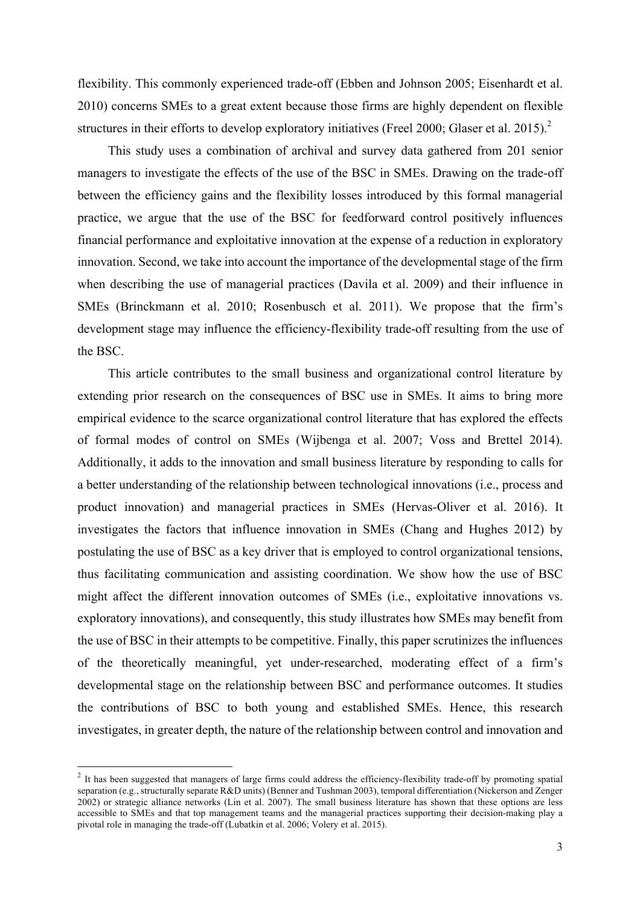flexibility. This commonly experienced trade-off (Ebben and Johnson 2005; Eisenhardt et al. 2010) concerns SMEs to a great extent because those firms are highly dependent on flexible structures in their efforts to develop exploratory initiatives (Freel 2000; Glaser et al. 2015).<sup>2</sup>

This study uses a combination of archival and survey data gathered from 201 senior managers to investigate the effects of the use of the BSC in SMEs. Drawing on the trade-off between the efficiency gains and the flexibility losses introduced by this formal managerial practice, we argue that the use of the BSC for feedforward control positively influences financial performance and exploitative innovation at the expense of a reduction in exploratory innovation. Second, we take into account the importance of the developmental stage of the firm when describing the use of managerial practices (Davila et al. 2009) and their influence in SMEs (Brinckmann et al. 2010; Rosenbusch et al. 2011). We propose that the firm's development stage may influence the efficiency-flexibility trade-off resulting from the use of the BSC.

This article contributes to the small business and organizational control literature by extending prior research on the consequences of BSC use in SMEs. It aims to bring more empirical evidence to the scarce organizational control literature that has explored the effects of formal modes of control on SMEs (Wijbenga et al. 2007; Voss and Brettel 2014). Additionally, it adds to the innovation and small business literature by responding to calls for a better understanding of the relationship between technological innovations (i.e., process and product innovation) and managerial practices in SMEs (Hervas-Oliver et al. 2016). It investigates the factors that influence innovation in SMEs (Chang and Hughes 2012) by postulating the use of BSC as a key driver that is employed to control organizational tensions, thus facilitating communication and assisting coordination. We show how the use of BSC might affect the different innovation outcomes of SMEs (i.e., exploitative innovations vs. exploratory innovations), and consequently, this study illustrates how SMEs may benefit from the use of BSC in their attempts to be competitive. Finally, this paper scrutinizes the influences of the theoretically meaningful, yet under-researched, moderating effect of a firm's developmental stage on the relationship between BSC and performance outcomes. It studies the contributions of BSC to both young and established SMEs. Hence, this research investigates, in greater depth, the nature of the relationship between control and innovation and

<u> 1989 - Johann Barn, mars ann an t-Amhain an t-Amhain an t-Amhain an t-Amhain an t-Amhain an t-Amhain an t-Amh</u>

<sup>&</sup>lt;sup>2</sup> It has been suggested that managers of large firms could address the efficiency-flexibility trade-off by promoting spatial separation (e.g., structurally separate R&D units) (Benner and Tushman 2003), temporal differentiation (Nickerson and Zenger 2002) or strategic alliance networks (Lin et al. 2007). The small business literature has shown that these options are less accessible to SMEs and that top management teams and the managerial practices supporting their decision-making play a pivotal role in managing the trade-off (Lubatkin et al. 2006; Volery et al. 2015).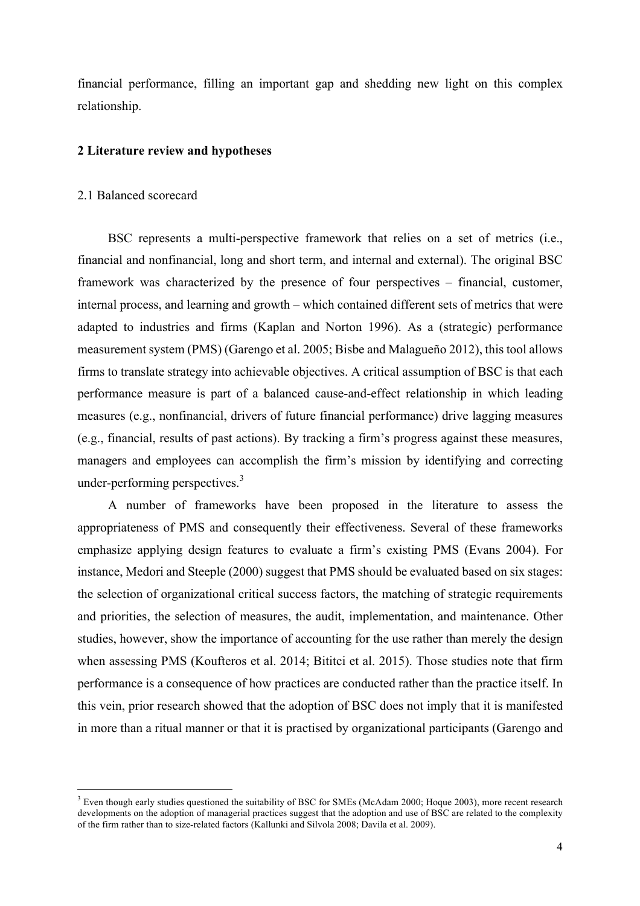financial performance, filling an important gap and shedding new light on this complex relationship.

#### **2 Literature review and hypotheses**

## 2.1 Balanced scorecard

<u> 1989 - Johann Barn, mars ann an t-Amhain an t-Amhain an t-Amhain an t-Amhain an t-Amhain an t-Amhain an t-Amh</u>

BSC represents a multi-perspective framework that relies on a set of metrics (i.e., financial and nonfinancial, long and short term, and internal and external). The original BSC framework was characterized by the presence of four perspectives – financial, customer, internal process, and learning and growth – which contained different sets of metrics that were adapted to industries and firms (Kaplan and Norton 1996). As a (strategic) performance measurement system (PMS) (Garengo et al. 2005; Bisbe and Malagueño 2012), this tool allows firms to translate strategy into achievable objectives. A critical assumption of BSC is that each performance measure is part of a balanced cause-and-effect relationship in which leading measures (e.g., nonfinancial, drivers of future financial performance) drive lagging measures (e.g., financial, results of past actions). By tracking a firm's progress against these measures, managers and employees can accomplish the firm's mission by identifying and correcting under-performing perspectives.<sup>3</sup>

A number of frameworks have been proposed in the literature to assess the appropriateness of PMS and consequently their effectiveness. Several of these frameworks emphasize applying design features to evaluate a firm's existing PMS (Evans 2004). For instance, Medori and Steeple (2000) suggest that PMS should be evaluated based on six stages: the selection of organizational critical success factors, the matching of strategic requirements and priorities, the selection of measures, the audit, implementation, and maintenance. Other studies, however, show the importance of accounting for the use rather than merely the design when assessing PMS (Koufteros et al. 2014; Bititci et al. 2015). Those studies note that firm performance is a consequence of how practices are conducted rather than the practice itself. In this vein, prior research showed that the adoption of BSC does not imply that it is manifested in more than a ritual manner or that it is practised by organizational participants (Garengo and

<sup>&</sup>lt;sup>3</sup> Even though early studies questioned the suitability of BSC for SMEs (McAdam 2000; Hoque 2003), more recent research developments on the adoption of managerial practices suggest that the adoption and use of BSC are related to the complexity of the firm rather than to size-related factors (Kallunki and Silvola 2008; Davila et al. 2009).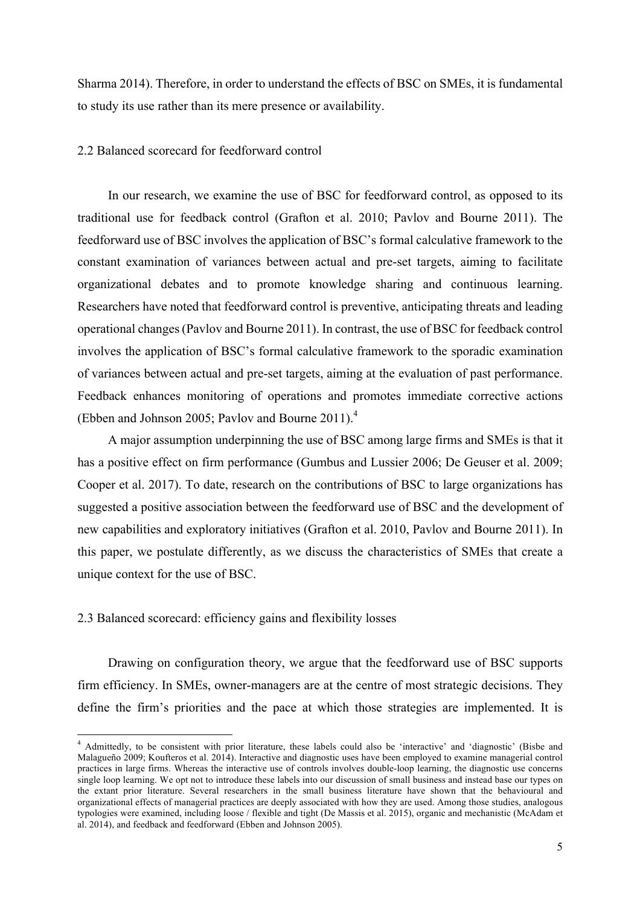Sharma 2014). Therefore, in order to understand the effects of BSC on SMEs, it is fundamental to study its use rather than its mere presence or availability.

## 2.2 Balanced scorecard for feedforward control

In our research, we examine the use of BSC for feedforward control, as opposed to its traditional use for feedback control (Grafton et al. 2010; Pavlov and Bourne 2011). The feedforward use of BSC involves the application of BSC's formal calculative framework to the constant examination of variances between actual and pre-set targets, aiming to facilitate organizational debates and to promote knowledge sharing and continuous learning. Researchers have noted that feedforward control is preventive, anticipating threats and leading operational changes (Pavlov and Bourne 2011). In contrast, the use of BSC for feedback control involves the application of BSC's formal calculative framework to the sporadic examination of variances between actual and pre-set targets, aiming at the evaluation of past performance. Feedback enhances monitoring of operations and promotes immediate corrective actions (Ebben and Johnson 2005; Pavlov and Bourne 2011).<sup>4</sup>

A major assumption underpinning the use of BSC among large firms and SMEs is that it has a positive effect on firm performance (Gumbus and Lussier 2006; De Geuser et al. 2009; Cooper et al. 2017). To date, research on the contributions of BSC to large organizations has suggested a positive association between the feedforward use of BSC and the development of new capabilities and exploratory initiatives (Grafton et al. 2010, Pavlov and Bourne 2011). In this paper, we postulate differently, as we discuss the characteristics of SMEs that create a unique context for the use of BSC.

## 2.3 Balanced scorecard: efficiency gains and flexibility losses

<u> 1989 - Johann Barn, mars ann an t-Amhain an t-Amhain an t-Amhain an t-Amhain an t-Amhain an t-Amhain an t-Amh</u>

Drawing on configuration theory, we argue that the feedforward use of BSC supports firm efficiency. In SMEs, owner-managers are at the centre of most strategic decisions. They define the firm's priorities and the pace at which those strategies are implemented. It is

<sup>4</sup> Admittedly, to be consistent with prior literature, these labels could also be 'interactive' and 'diagnostic' (Bisbe and Malagueño 2009; Koufteros et al. 2014). Interactive and diagnostic uses have been employed to examine managerial control practices in large firms. Whereas the interactive use of controls involves double-loop learning, the diagnostic use concerns single loop learning. We opt not to introduce these labels into our discussion of small business and instead base our types on the extant prior literature. Several researchers in the small business literature have shown that the behavioural and organizational effects of managerial practices are deeply associated with how they are used. Among those studies, analogous typologies were examined, including loose / flexible and tight (De Massis et al. 2015), organic and mechanistic (McAdam et al. 2014), and feedback and feedforward (Ebben and Johnson 2005).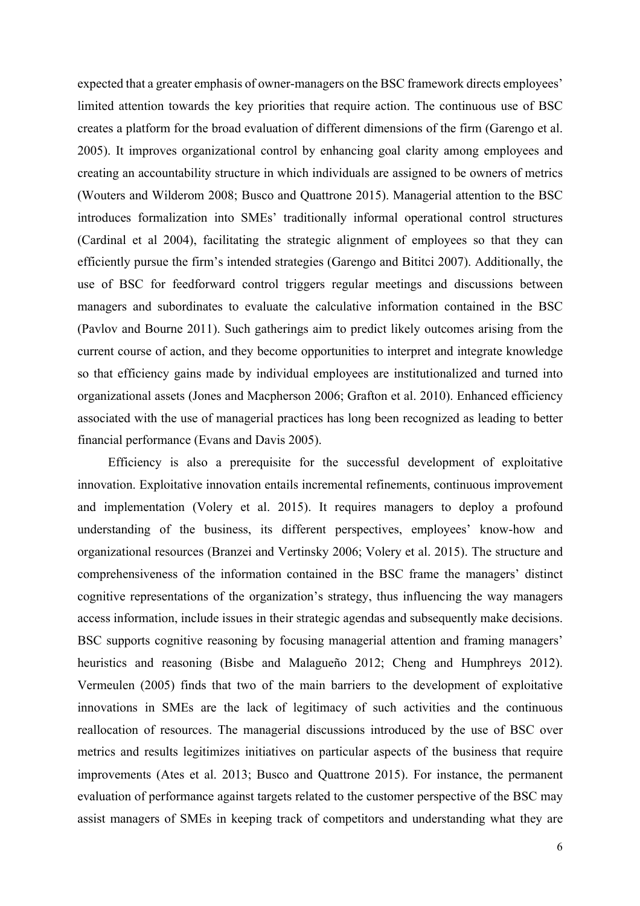expected that a greater emphasis of owner-managers on the BSC framework directs employees' limited attention towards the key priorities that require action. The continuous use of BSC creates a platform for the broad evaluation of different dimensions of the firm (Garengo et al. 2005). It improves organizational control by enhancing goal clarity among employees and creating an accountability structure in which individuals are assigned to be owners of metrics (Wouters and Wilderom 2008; Busco and Quattrone 2015). Managerial attention to the BSC introduces formalization into SMEs' traditionally informal operational control structures (Cardinal et al 2004), facilitating the strategic alignment of employees so that they can efficiently pursue the firm's intended strategies (Garengo and Bititci 2007). Additionally, the use of BSC for feedforward control triggers regular meetings and discussions between managers and subordinates to evaluate the calculative information contained in the BSC (Pavlov and Bourne 2011). Such gatherings aim to predict likely outcomes arising from the current course of action, and they become opportunities to interpret and integrate knowledge so that efficiency gains made by individual employees are institutionalized and turned into organizational assets (Jones and Macpherson 2006; Grafton et al. 2010). Enhanced efficiency associated with the use of managerial practices has long been recognized as leading to better financial performance (Evans and Davis 2005).

Efficiency is also a prerequisite for the successful development of exploitative innovation. Exploitative innovation entails incremental refinements, continuous improvement and implementation (Volery et al. 2015). It requires managers to deploy a profound understanding of the business, its different perspectives, employees' know-how and organizational resources (Branzei and Vertinsky 2006; Volery et al. 2015). The structure and comprehensiveness of the information contained in the BSC frame the managers' distinct cognitive representations of the organization's strategy, thus influencing the way managers access information, include issues in their strategic agendas and subsequently make decisions. BSC supports cognitive reasoning by focusing managerial attention and framing managers' heuristics and reasoning (Bisbe and Malagueño 2012; Cheng and Humphreys 2012). Vermeulen (2005) finds that two of the main barriers to the development of exploitative innovations in SMEs are the lack of legitimacy of such activities and the continuous reallocation of resources. The managerial discussions introduced by the use of BSC over metrics and results legitimizes initiatives on particular aspects of the business that require improvements (Ates et al. 2013; Busco and Quattrone 2015). For instance, the permanent evaluation of performance against targets related to the customer perspective of the BSC may assist managers of SMEs in keeping track of competitors and understanding what they are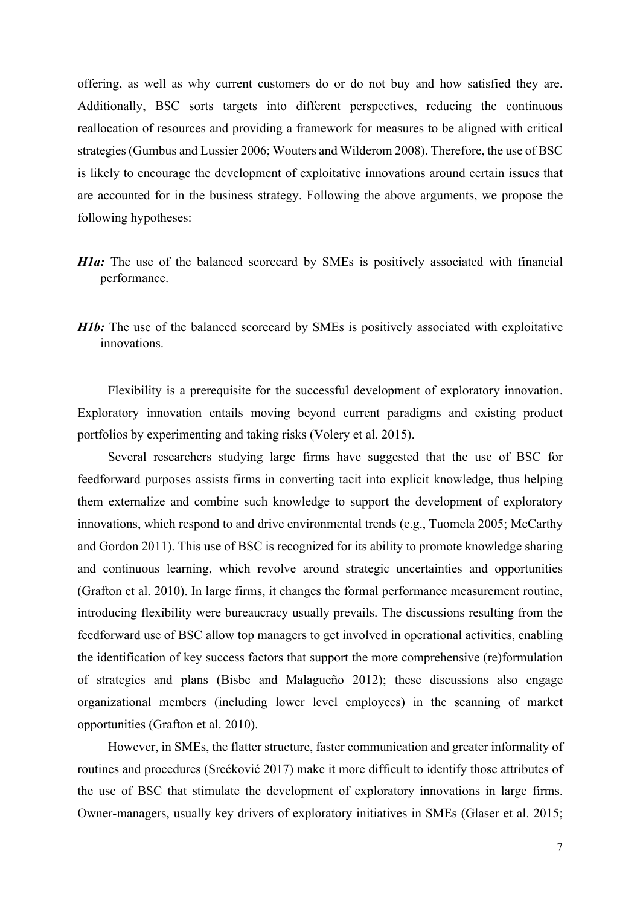offering, as well as why current customers do or do not buy and how satisfied they are. Additionally, BSC sorts targets into different perspectives, reducing the continuous reallocation of resources and providing a framework for measures to be aligned with critical strategies (Gumbus and Lussier 2006; Wouters and Wilderom 2008). Therefore, the use of BSC is likely to encourage the development of exploitative innovations around certain issues that are accounted for in the business strategy. Following the above arguments, we propose the following hypotheses:

- *H1a*: The use of the balanced scorecard by SMEs is positively associated with financial performance.
- *H1b*: The use of the balanced scorecard by SMEs is positively associated with exploitative innovations.

Flexibility is a prerequisite for the successful development of exploratory innovation. Exploratory innovation entails moving beyond current paradigms and existing product portfolios by experimenting and taking risks (Volery et al. 2015).

Several researchers studying large firms have suggested that the use of BSC for feedforward purposes assists firms in converting tacit into explicit knowledge, thus helping them externalize and combine such knowledge to support the development of exploratory innovations, which respond to and drive environmental trends (e.g., Tuomela 2005; McCarthy and Gordon 2011). This use of BSC is recognized for its ability to promote knowledge sharing and continuous learning, which revolve around strategic uncertainties and opportunities (Grafton et al. 2010). In large firms, it changes the formal performance measurement routine, introducing flexibility were bureaucracy usually prevails. The discussions resulting from the feedforward use of BSC allow top managers to get involved in operational activities, enabling the identification of key success factors that support the more comprehensive (re)formulation of strategies and plans (Bisbe and Malagueño 2012); these discussions also engage organizational members (including lower level employees) in the scanning of market opportunities (Grafton et al. 2010).

However, in SMEs, the flatter structure, faster communication and greater informality of routines and procedures (Srećković 2017) make it more difficult to identify those attributes of the use of BSC that stimulate the development of exploratory innovations in large firms. Owner-managers, usually key drivers of exploratory initiatives in SMEs (Glaser et al. 2015;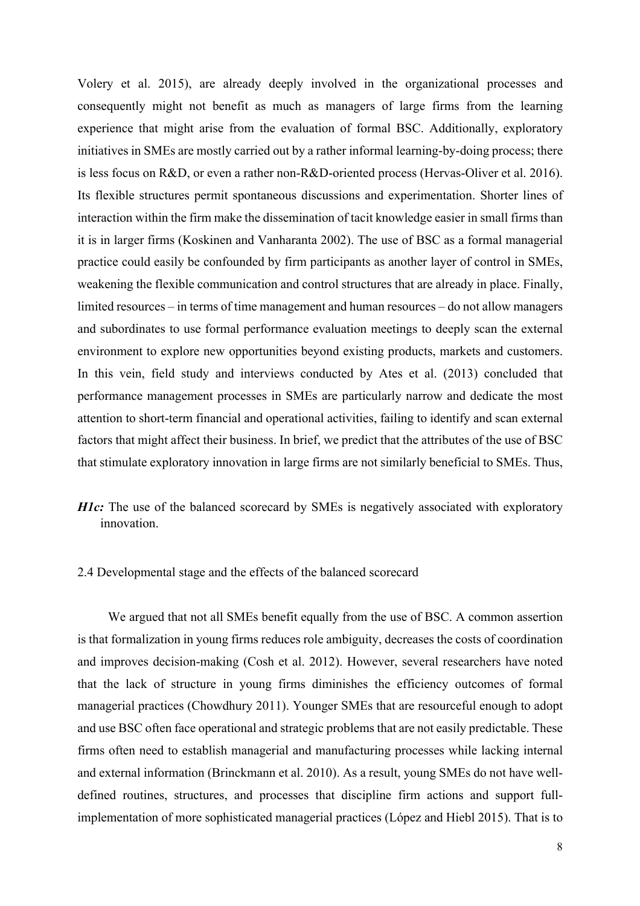Volery et al. 2015), are already deeply involved in the organizational processes and consequently might not benefit as much as managers of large firms from the learning experience that might arise from the evaluation of formal BSC. Additionally, exploratory initiatives in SMEs are mostly carried out by a rather informal learning-by-doing process; there is less focus on R&D, or even a rather non-R&D-oriented process (Hervas-Oliver et al. 2016). Its flexible structures permit spontaneous discussions and experimentation. Shorter lines of interaction within the firm make the dissemination of tacit knowledge easier in small firms than it is in larger firms (Koskinen and Vanharanta 2002). The use of BSC as a formal managerial practice could easily be confounded by firm participants as another layer of control in SMEs, weakening the flexible communication and control structures that are already in place. Finally, limited resources – in terms of time management and human resources – do not allow managers and subordinates to use formal performance evaluation meetings to deeply scan the external environment to explore new opportunities beyond existing products, markets and customers. In this vein, field study and interviews conducted by Ates et al. (2013) concluded that performance management processes in SMEs are particularly narrow and dedicate the most attention to short-term financial and operational activities, failing to identify and scan external factors that might affect their business. In brief, we predict that the attributes of the use of BSC that stimulate exploratory innovation in large firms are not similarly beneficial to SMEs. Thus,

# *H1c*: The use of the balanced scorecard by SMEs is negatively associated with exploratory innovation.

# 2.4 Developmental stage and the effects of the balanced scorecard

We argued that not all SMEs benefit equally from the use of BSC. A common assertion is that formalization in young firms reduces role ambiguity, decreases the costs of coordination and improves decision-making (Cosh et al. 2012). However, several researchers have noted that the lack of structure in young firms diminishes the efficiency outcomes of formal managerial practices (Chowdhury 2011). Younger SMEs that are resourceful enough to adopt and use BSC often face operational and strategic problems that are not easily predictable. These firms often need to establish managerial and manufacturing processes while lacking internal and external information (Brinckmann et al. 2010). As a result, young SMEs do not have welldefined routines, structures, and processes that discipline firm actions and support fullimplementation of more sophisticated managerial practices (López and Hiebl 2015). That is to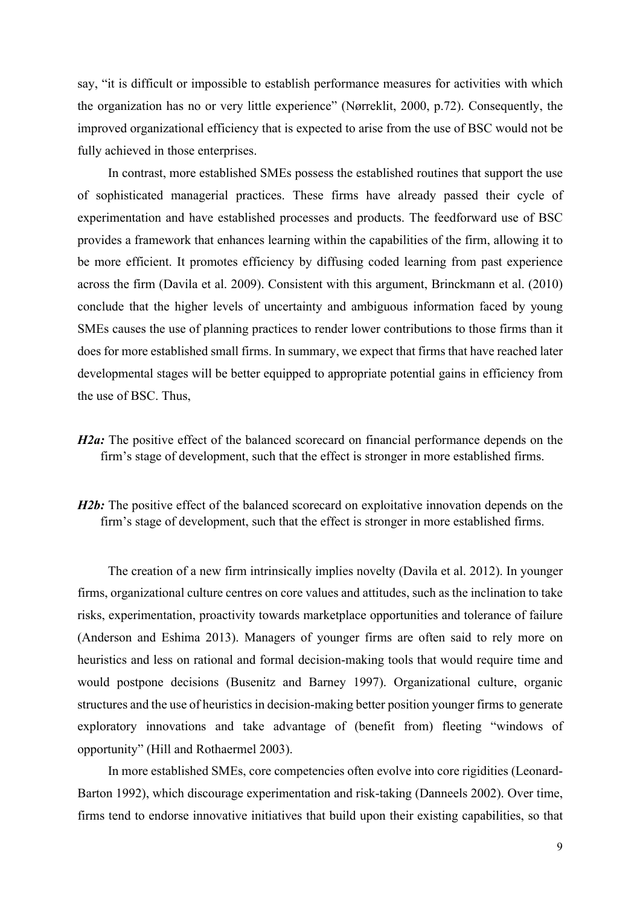say, "it is difficult or impossible to establish performance measures for activities with which the organization has no or very little experience" (Nørreklit, 2000, p.72). Consequently, the improved organizational efficiency that is expected to arise from the use of BSC would not be fully achieved in those enterprises.

In contrast, more established SMEs possess the established routines that support the use of sophisticated managerial practices. These firms have already passed their cycle of experimentation and have established processes and products. The feedforward use of BSC provides a framework that enhances learning within the capabilities of the firm, allowing it to be more efficient. It promotes efficiency by diffusing coded learning from past experience across the firm (Davila et al. 2009). Consistent with this argument, Brinckmann et al. (2010) conclude that the higher levels of uncertainty and ambiguous information faced by young SMEs causes the use of planning practices to render lower contributions to those firms than it does for more established small firms. In summary, we expect that firms that have reached later developmental stages will be better equipped to appropriate potential gains in efficiency from the use of BSC. Thus,

*H2a*: The positive effect of the balanced scorecard on financial performance depends on the firm's stage of development, such that the effect is stronger in more established firms.

*H2b*: The positive effect of the balanced scorecard on exploitative innovation depends on the firm's stage of development, such that the effect is stronger in more established firms.

The creation of a new firm intrinsically implies novelty (Davila et al. 2012). In younger firms, organizational culture centres on core values and attitudes, such as the inclination to take risks, experimentation, proactivity towards marketplace opportunities and tolerance of failure (Anderson and Eshima 2013). Managers of younger firms are often said to rely more on heuristics and less on rational and formal decision-making tools that would require time and would postpone decisions (Busenitz and Barney 1997). Organizational culture, organic structures and the use of heuristics in decision-making better position younger firms to generate exploratory innovations and take advantage of (benefit from) fleeting "windows of opportunity" (Hill and Rothaermel 2003).

In more established SMEs, core competencies often evolve into core rigidities (Leonard-Barton 1992), which discourage experimentation and risk-taking (Danneels 2002). Over time, firms tend to endorse innovative initiatives that build upon their existing capabilities, so that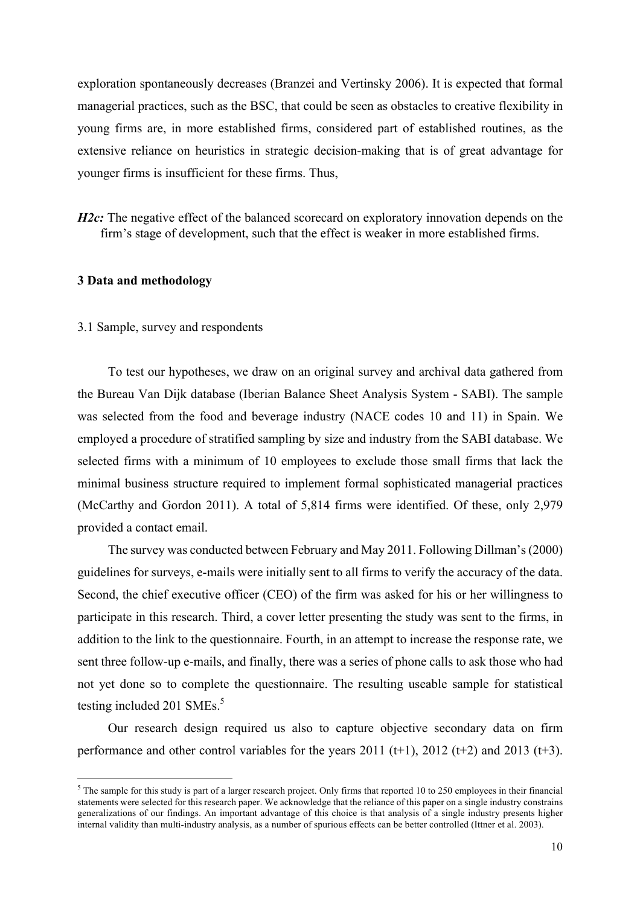exploration spontaneously decreases (Branzei and Vertinsky 2006). It is expected that formal managerial practices, such as the BSC, that could be seen as obstacles to creative flexibility in young firms are, in more established firms, considered part of established routines, as the extensive reliance on heuristics in strategic decision-making that is of great advantage for younger firms is insufficient for these firms. Thus,

*H2c*: The negative effect of the balanced scorecard on exploratory innovation depends on the firm's stage of development, such that the effect is weaker in more established firms.

#### **3 Data and methodology**

## 3.1 Sample, survey and respondents

<u> 1989 - Johann Barn, mars ann an t-Amhain an t-Amhain an t-Amhain an t-Amhain an t-Amhain an t-Amhain an t-Amh</u>

To test our hypotheses, we draw on an original survey and archival data gathered from the Bureau Van Dijk database (Iberian Balance Sheet Analysis System - SABI). The sample was selected from the food and beverage industry (NACE codes 10 and 11) in Spain. We employed a procedure of stratified sampling by size and industry from the SABI database. We selected firms with a minimum of 10 employees to exclude those small firms that lack the minimal business structure required to implement formal sophisticated managerial practices (McCarthy and Gordon 2011). A total of 5,814 firms were identified. Of these, only 2,979 provided a contact email.

The survey was conducted between February and May 2011. Following Dillman's (2000) guidelines for surveys, e-mails were initially sent to all firms to verify the accuracy of the data. Second, the chief executive officer (CEO) of the firm was asked for his or her willingness to participate in this research. Third, a cover letter presenting the study was sent to the firms, in addition to the link to the questionnaire. Fourth, in an attempt to increase the response rate, we sent three follow-up e-mails, and finally, there was a series of phone calls to ask those who had not yet done so to complete the questionnaire. The resulting useable sample for statistical testing included 201 SMEs. $5$ 

Our research design required us also to capture objective secondary data on firm performance and other control variables for the years  $2011$  (t+1),  $2012$  (t+2) and  $2013$  (t+3).

<sup>&</sup>lt;sup>5</sup> The sample for this study is part of a larger research project. Only firms that reported 10 to 250 employees in their financial statements were selected for this research paper. We acknowledge that the reliance of this paper on a single industry constrains generalizations of our findings. An important advantage of this choice is that analysis of a single industry presents higher internal validity than multi-industry analysis, as a number of spurious effects can be better controlled (Ittner et al. 2003).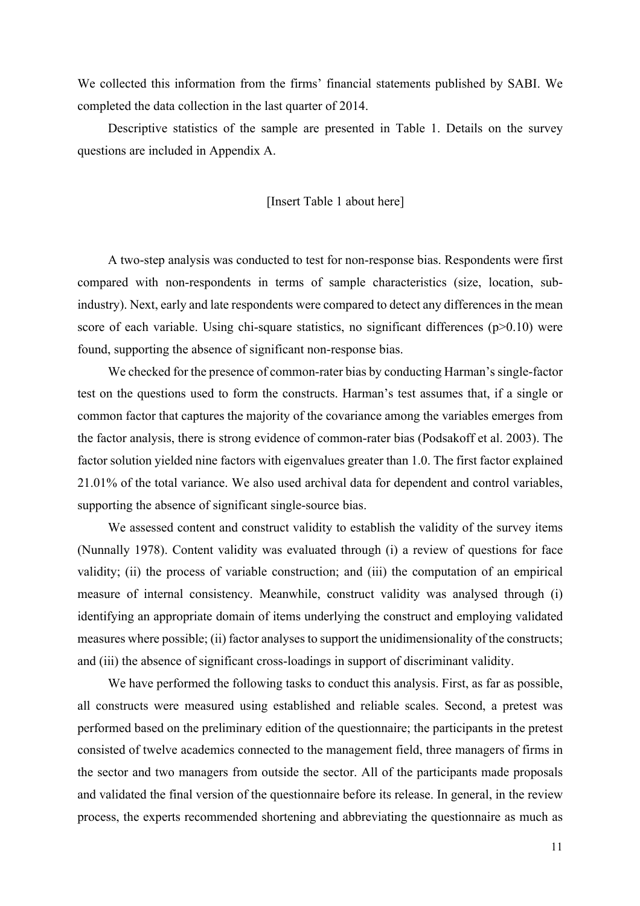We collected this information from the firms' financial statements published by SABI. We completed the data collection in the last quarter of 2014.

Descriptive statistics of the sample are presented in Table 1. Details on the survey questions are included in Appendix A.

### [Insert Table 1 about here]

A two-step analysis was conducted to test for non-response bias. Respondents were first compared with non-respondents in terms of sample characteristics (size, location, subindustry). Next, early and late respondents were compared to detect any differences in the mean score of each variable. Using chi-square statistics, no significant differences  $(p>0.10)$  were found, supporting the absence of significant non-response bias.

We checked for the presence of common-rater bias by conducting Harman's single-factor test on the questions used to form the constructs. Harman's test assumes that, if a single or common factor that captures the majority of the covariance among the variables emerges from the factor analysis, there is strong evidence of common-rater bias (Podsakoff et al. 2003). The factor solution yielded nine factors with eigenvalues greater than 1.0. The first factor explained 21.01% of the total variance. We also used archival data for dependent and control variables, supporting the absence of significant single-source bias.

We assessed content and construct validity to establish the validity of the survey items (Nunnally 1978). Content validity was evaluated through (i) a review of questions for face validity; (ii) the process of variable construction; and (iii) the computation of an empirical measure of internal consistency. Meanwhile, construct validity was analysed through (i) identifying an appropriate domain of items underlying the construct and employing validated measures where possible; (ii) factor analyses to support the unidimensionality of the constructs; and (iii) the absence of significant cross-loadings in support of discriminant validity.

We have performed the following tasks to conduct this analysis. First, as far as possible, all constructs were measured using established and reliable scales. Second, a pretest was performed based on the preliminary edition of the questionnaire; the participants in the pretest consisted of twelve academics connected to the management field, three managers of firms in the sector and two managers from outside the sector. All of the participants made proposals and validated the final version of the questionnaire before its release. In general, in the review process, the experts recommended shortening and abbreviating the questionnaire as much as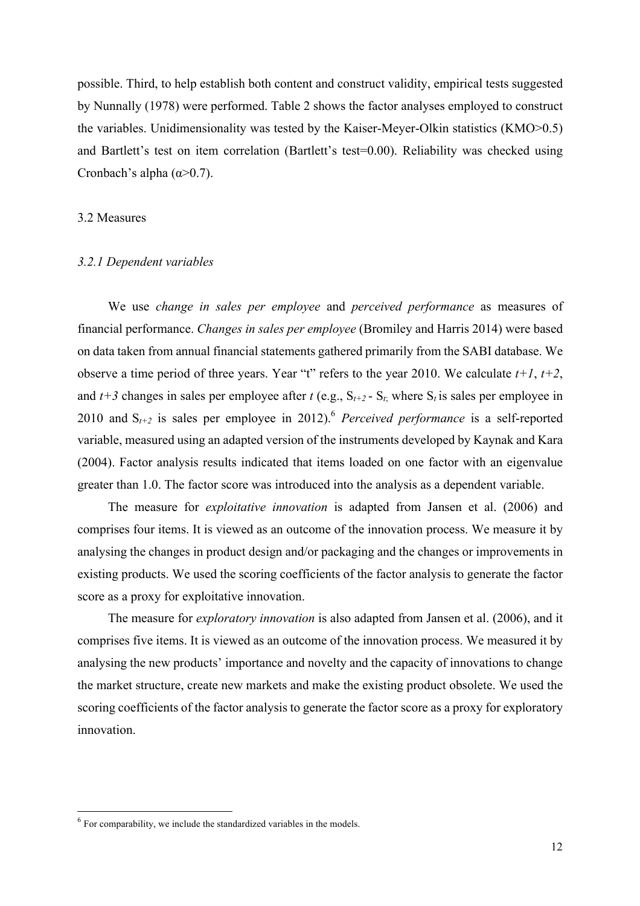possible. Third, to help establish both content and construct validity, empirical tests suggested by Nunnally (1978) were performed. Table 2 shows the factor analyses employed to construct the variables. Unidimensionality was tested by the Kaiser-Meyer-Olkin statistics (KMO>0.5) and Bartlett's test on item correlation (Bartlett's test=0.00). Reliability was checked using Cronbach's alpha  $(\alpha > 0.7)$ .

#### 3.2 Measures

#### *3.2.1 Dependent variables*

We use *change in sales per employee* and *perceived performance* as measures of financial performance. *Changes in sales per employee* (Bromiley and Harris 2014) were based on data taken from annual financial statements gathered primarily from the SABI database. We observe a time period of three years. Year "t" refers to the year 2010. We calculate  $t+1$ ,  $t+2$ , and  $t+3$  changes in sales per employee after  $t$  (e.g.,  $S_{t+2}$  -  $S_t$ ; where  $S_t$  is sales per employee in 2010 and  $S_{t+2}$  is sales per employee in 2012).<sup>6</sup> *Perceived performance* is a self-reported variable, measured using an adapted version of the instruments developed by Kaynak and Kara (2004). Factor analysis results indicated that items loaded on one factor with an eigenvalue greater than 1.0. The factor score was introduced into the analysis as a dependent variable.

The measure for *exploitative innovation* is adapted from Jansen et al. (2006) and comprises four items. It is viewed as an outcome of the innovation process. We measure it by analysing the changes in product design and/or packaging and the changes or improvements in existing products. We used the scoring coefficients of the factor analysis to generate the factor score as a proxy for exploitative innovation.

The measure for *exploratory innovation* is also adapted from Jansen et al. (2006), and it comprises five items. It is viewed as an outcome of the innovation process. We measured it by analysing the new products' importance and novelty and the capacity of innovations to change the market structure, create new markets and make the existing product obsolete. We used the scoring coefficients of the factor analysis to generate the factor score as a proxy for exploratory innovation.

<u> 1989 - Johann Barn, mars ann an t-Amhain an t-Amhain an t-Amhain an t-Amhain an t-Amhain an t-Amhain an t-Amh</u>

 $6$  For comparability, we include the standardized variables in the models.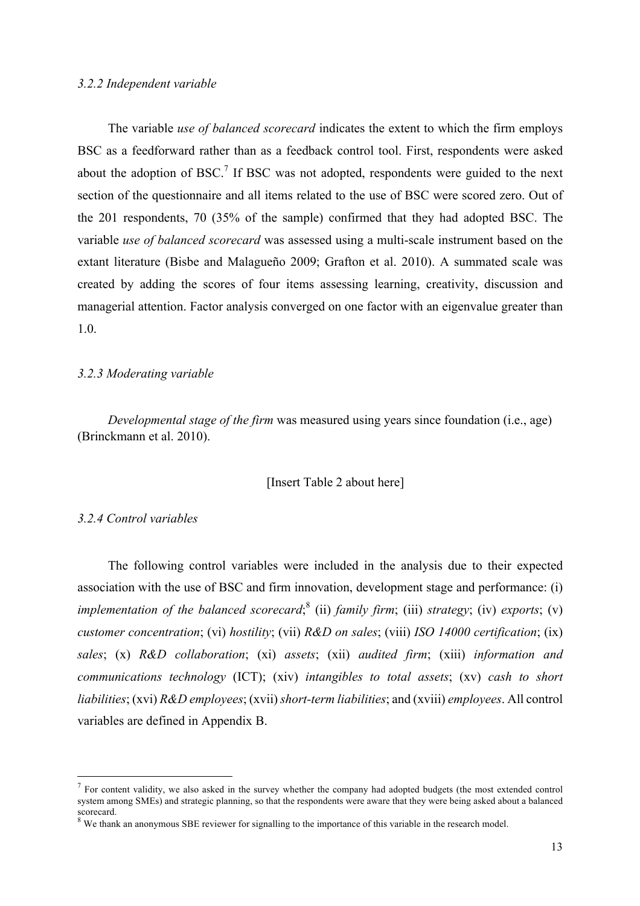#### *3.2.2 Independent variable*

The variable *use of balanced scorecard* indicates the extent to which the firm employs BSC as a feedforward rather than as a feedback control tool. First, respondents were asked about the adoption of BSC.<sup>7</sup> If BSC was not adopted, respondents were guided to the next section of the questionnaire and all items related to the use of BSC were scored zero. Out of the 201 respondents, 70 (35% of the sample) confirmed that they had adopted BSC. The variable *use of balanced scorecard* was assessed using a multi-scale instrument based on the extant literature (Bisbe and Malagueño 2009; Grafton et al. 2010). A summated scale was created by adding the scores of four items assessing learning, creativity, discussion and managerial attention. Factor analysis converged on one factor with an eigenvalue greater than 1.0.

#### *3.2.3 Moderating variable*

*Developmental stage of the firm* was measured using years since foundation (i.e., age) (Brinckmann et al. 2010).

#### [Insert Table 2 about here]

### *3.2.4 Control variables*

<u> 1989 - Johann Barn, mars ann an t-Amhain an t-Amhain an t-Amhain an t-Amhain an t-Amhain an t-Amhain an t-Amh</u>

The following control variables were included in the analysis due to their expected association with the use of BSC and firm innovation, development stage and performance: (i) *implementation of the balanced scorecard*;<sup>8</sup> (ii) *family firm*; (iii) *strategy*; (iv) *exports*; (v) *customer concentration*; (vi) *hostility*; (vii) *R&D on sales*; (viii) *ISO 14000 certification*; (ix) *sales*; (x) *R&D collaboration*; (xi) *assets*; (xii) *audited firm*; (xiii) *information and communications technology* (ICT); (xiv) *intangibles to total assets*; (xv) *cash to short liabilities*; (xvi) *R&D employees*; (xvii) *short-term liabilities*; and (xviii) *employees*. All control variables are defined in Appendix B.

 $<sup>7</sup>$  For content validity, we also asked in the survey whether the company had adopted budgets (the most extended control</sup> system among SMEs) and strategic planning, so that the respondents were aware that they were being asked about a balanced scorecard.

 $8\,$  We thank an anonymous SBE reviewer for signalling to the importance of this variable in the research model.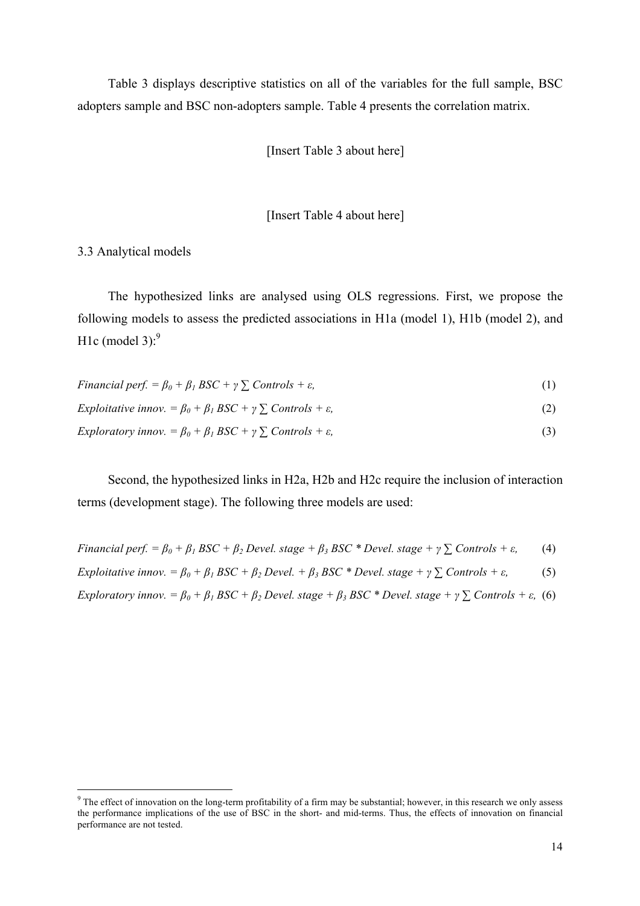Table 3 displays descriptive statistics on all of the variables for the full sample, BSC adopters sample and BSC non-adopters sample. Table 4 presents the correlation matrix.

[Insert Table 3 about here]

[Insert Table 4 about here]

3.3 Analytical models

<u> 1989 - Johann Barn, mars ann an t-Amhain an t-Amhain an t-Amhain an t-Amhain an t-Amhain an t-Amhain an t-Amh</u>

The hypothesized links are analysed using OLS regressions. First, we propose the following models to assess the predicted associations in H1a (model 1), H1b (model 2), and H1c (model 3): $9$ 

| Financial perf. = $\beta_0 + \beta_1 BSC + \gamma \sum$ Controls + $\varepsilon$ ,     |     |
|----------------------------------------------------------------------------------------|-----|
| Exploitative innov. = $\beta_0 + \beta_1 BSC + \gamma \sum$ Controls + $\varepsilon$ , | (2) |

*Exploratory innov.*  $= \beta_0 + \beta_1 BSC + \gamma \sum_{i} \text{Controls} + \varepsilon$ , (3)

Second, the hypothesized links in H2a, H2b and H2c require the inclusion of interaction terms (development stage). The following three models are used:

Financial perf. =  $\beta_0 + \beta_1 BSC + \beta_2 D evel$ . stage +  $\beta_3 BSC$  \* Devel. stage +  $\gamma \sum$  Controls +  $\varepsilon$ , (4)

Exploitative innov. =  $\beta_0 + \beta_1 BSC + \beta_2 Devel$ . +  $\beta_3 BSC$  \* Devel. stage +  $\gamma \sum$  Controls +  $\varepsilon$ , (5)

Exploratory innov. =  $\beta_0 + \beta_1 BSC + \beta_2$  Devel. stage +  $\beta_3 BSC$  \* Devel. stage +  $\gamma \sum$  Controls +  $\varepsilon$ , (6)

<sup>&</sup>lt;sup>9</sup> The effect of innovation on the long-term profitability of a firm may be substantial; however, in this research we only assess the performance implications of the use of BSC in the short- and mid-terms. Thus, the effects of innovation on financial performance are not tested.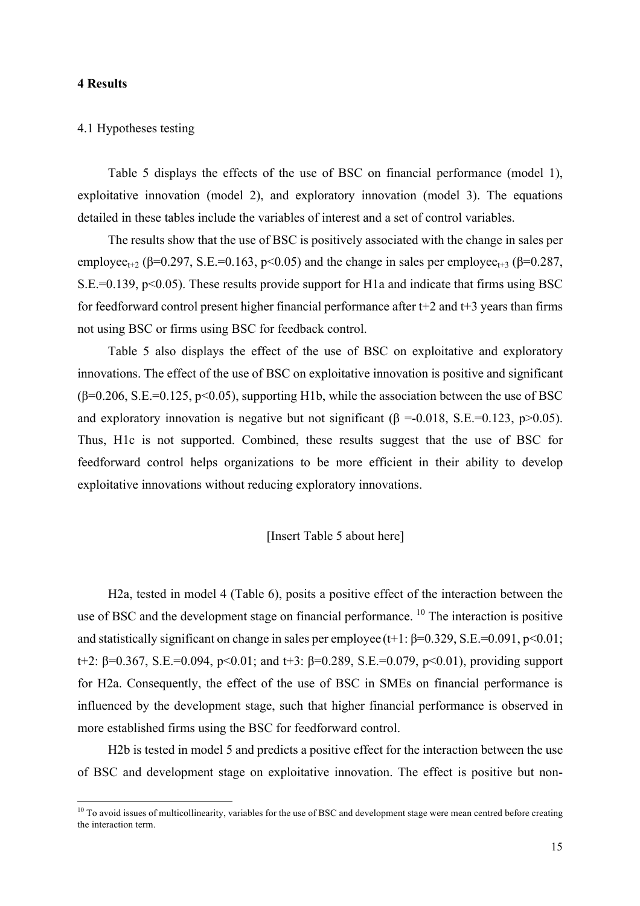#### **4 Results**

#### 4.1 Hypotheses testing

Table 5 displays the effects of the use of BSC on financial performance (model 1), exploitative innovation (model 2), and exploratory innovation (model 3). The equations detailed in these tables include the variables of interest and a set of control variables.

The results show that the use of BSC is positively associated with the change in sales per employee<sub>t+2</sub> (β=0.297, S.E.=0.163, p<0.05) and the change in sales per employee<sub>t+3</sub> (β=0.287,  $S.E.=0.139$ ,  $p<0.05$ ). These results provide support for H1a and indicate that firms using BSC for feedforward control present higher financial performance after  $t+2$  and  $t+3$  years than firms not using BSC or firms using BSC for feedback control.

Table 5 also displays the effect of the use of BSC on exploitative and exploratory innovations. The effect of the use of BSC on exploitative innovation is positive and significant  $(\beta=0.206, S.E.=0.125, p<0.05)$ , supporting H1b, while the association between the use of BSC and exploratory innovation is negative but not significant ( $\beta$  =-0.018, S.E.=0.123, p>0.05). Thus, H1c is not supported. Combined, these results suggest that the use of BSC for feedforward control helps organizations to be more efficient in their ability to develop exploitative innovations without reducing exploratory innovations.

# [Insert Table 5 about here]

H2a, tested in model 4 (Table 6), posits a positive effect of the interaction between the use of BSC and the development stage on financial performance.<sup>10</sup> The interaction is positive and statistically significant on change in sales per employee (t+1:  $\beta$ =0.329, S.E.=0.091, p<0.01; t+2: β=0.367, S.E.=0.094, p<0.01; and t+3: β=0.289, S.E.=0.079, p<0.01), providing support for H2a. Consequently, the effect of the use of BSC in SMEs on financial performance is influenced by the development stage, such that higher financial performance is observed in more established firms using the BSC for feedforward control.

H2b is tested in model 5 and predicts a positive effect for the interaction between the use of BSC and development stage on exploitative innovation. The effect is positive but non-

<sup>&</sup>lt;sup>10</sup> To avoid issues of multicollinearity, variables for the use of BSC and development stage were mean centred before creating the interaction term.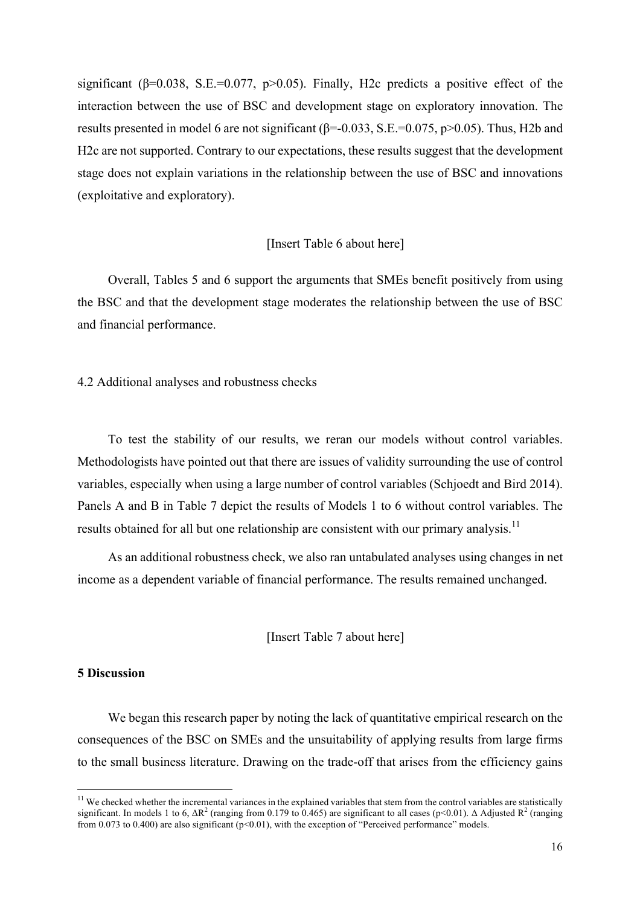significant ( $\beta$ =0.038, S.E.=0.077, p>0.05). Finally, H2c predicts a positive effect of the interaction between the use of BSC and development stage on exploratory innovation. The results presented in model 6 are not significant ( $\beta$ =-0.033, S.E.=0.075, p>0.05). Thus, H2b and H2c are not supported. Contrary to our expectations, these results suggest that the development stage does not explain variations in the relationship between the use of BSC and innovations (exploitative and exploratory).

## [Insert Table 6 about here]

Overall, Tables 5 and 6 support the arguments that SMEs benefit positively from using the BSC and that the development stage moderates the relationship between the use of BSC and financial performance.

4.2 Additional analyses and robustness checks

To test the stability of our results, we reran our models without control variables. Methodologists have pointed out that there are issues of validity surrounding the use of control variables, especially when using a large number of control variables (Schjoedt and Bird 2014). Panels A and B in Table 7 depict the results of Models 1 to 6 without control variables. The results obtained for all but one relationship are consistent with our primary analysis.<sup>11</sup>

As an additional robustness check, we also ran untabulated analyses using changes in net income as a dependent variable of financial performance. The results remained unchanged.

[Insert Table 7 about here]

### **5 Discussion**

<u> 1989 - Johann Barn, mars ann an t-Amhain an t-Amhain an t-Amhain an t-Amhain an t-Amhain an t-Amhain an t-Amh</u>

We began this research paper by noting the lack of quantitative empirical research on the consequences of the BSC on SMEs and the unsuitability of applying results from large firms to the small business literature. Drawing on the trade-off that arises from the efficiency gains

 $11$  We checked whether the incremental variances in the explained variables that stem from the control variables are statistically significant. In models 1 to 6,  $\Delta R^2$  (ranging from 0.179 to 0.465) are significant to all cases (p<0.01). Δ Adjusted  $R^2$  (ranging from 0.073 to 0.400) are also significant ( $p<0.01$ ), with the exception of "Perceived performance" models.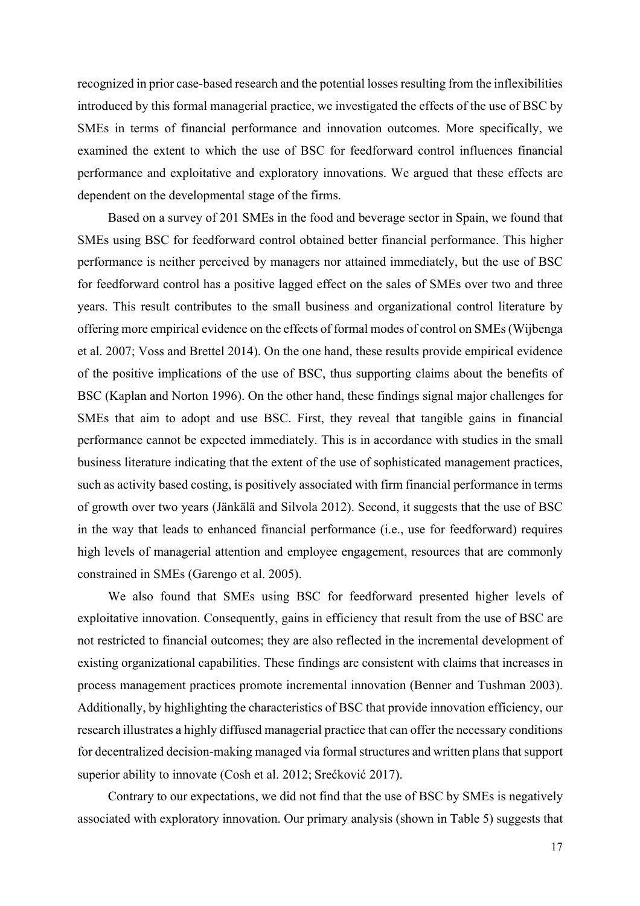recognized in prior case-based research and the potential losses resulting from the inflexibilities introduced by this formal managerial practice, we investigated the effects of the use of BSC by SMEs in terms of financial performance and innovation outcomes. More specifically, we examined the extent to which the use of BSC for feedforward control influences financial performance and exploitative and exploratory innovations. We argued that these effects are dependent on the developmental stage of the firms.

Based on a survey of 201 SMEs in the food and beverage sector in Spain, we found that SMEs using BSC for feedforward control obtained better financial performance. This higher performance is neither perceived by managers nor attained immediately, but the use of BSC for feedforward control has a positive lagged effect on the sales of SMEs over two and three years. This result contributes to the small business and organizational control literature by offering more empirical evidence on the effects of formal modes of control on SMEs (Wijbenga et al. 2007; Voss and Brettel 2014). On the one hand, these results provide empirical evidence of the positive implications of the use of BSC, thus supporting claims about the benefits of BSC (Kaplan and Norton 1996). On the other hand, these findings signal major challenges for SMEs that aim to adopt and use BSC. First, they reveal that tangible gains in financial performance cannot be expected immediately. This is in accordance with studies in the small business literature indicating that the extent of the use of sophisticated management practices, such as activity based costing, is positively associated with firm financial performance in terms of growth over two years (Jänkälä and Silvola 2012). Second, it suggests that the use of BSC in the way that leads to enhanced financial performance (i.e., use for feedforward) requires high levels of managerial attention and employee engagement, resources that are commonly constrained in SMEs (Garengo et al. 2005).

We also found that SMEs using BSC for feedforward presented higher levels of exploitative innovation. Consequently, gains in efficiency that result from the use of BSC are not restricted to financial outcomes; they are also reflected in the incremental development of existing organizational capabilities. These findings are consistent with claims that increases in process management practices promote incremental innovation (Benner and Tushman 2003). Additionally, by highlighting the characteristics of BSC that provide innovation efficiency, our research illustrates a highly diffused managerial practice that can offer the necessary conditions for decentralized decision-making managed via formal structures and written plans that support superior ability to innovate (Cosh et al. 2012; Srećković 2017).

Contrary to our expectations, we did not find that the use of BSC by SMEs is negatively associated with exploratory innovation. Our primary analysis (shown in Table 5) suggests that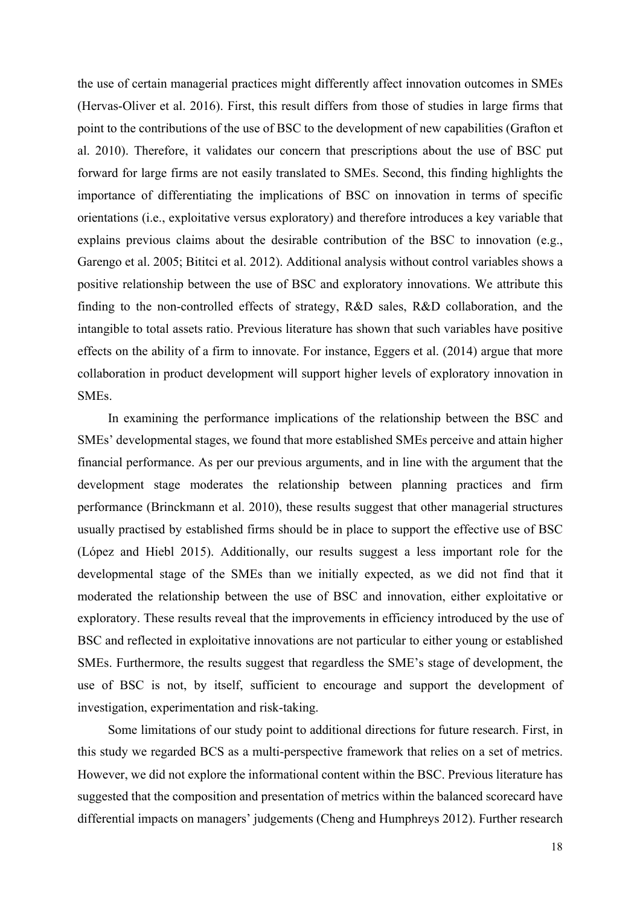the use of certain managerial practices might differently affect innovation outcomes in SMEs (Hervas-Oliver et al. 2016). First, this result differs from those of studies in large firms that point to the contributions of the use of BSC to the development of new capabilities (Grafton et al. 2010). Therefore, it validates our concern that prescriptions about the use of BSC put forward for large firms are not easily translated to SMEs. Second, this finding highlights the importance of differentiating the implications of BSC on innovation in terms of specific orientations (i.e., exploitative versus exploratory) and therefore introduces a key variable that explains previous claims about the desirable contribution of the BSC to innovation (e.g., Garengo et al. 2005; Bititci et al. 2012). Additional analysis without control variables shows a positive relationship between the use of BSC and exploratory innovations. We attribute this finding to the non-controlled effects of strategy, R&D sales, R&D collaboration, and the intangible to total assets ratio. Previous literature has shown that such variables have positive effects on the ability of a firm to innovate. For instance, Eggers et al. (2014) argue that more collaboration in product development will support higher levels of exploratory innovation in **SMEs**.

In examining the performance implications of the relationship between the BSC and SMEs' developmental stages, we found that more established SMEs perceive and attain higher financial performance. As per our previous arguments, and in line with the argument that the development stage moderates the relationship between planning practices and firm performance (Brinckmann et al. 2010), these results suggest that other managerial structures usually practised by established firms should be in place to support the effective use of BSC (López and Hiebl 2015). Additionally, our results suggest a less important role for the developmental stage of the SMEs than we initially expected, as we did not find that it moderated the relationship between the use of BSC and innovation, either exploitative or exploratory. These results reveal that the improvements in efficiency introduced by the use of BSC and reflected in exploitative innovations are not particular to either young or established SMEs. Furthermore, the results suggest that regardless the SME's stage of development, the use of BSC is not, by itself, sufficient to encourage and support the development of investigation, experimentation and risk-taking.

Some limitations of our study point to additional directions for future research. First, in this study we regarded BCS as a multi-perspective framework that relies on a set of metrics. However, we did not explore the informational content within the BSC. Previous literature has suggested that the composition and presentation of metrics within the balanced scorecard have differential impacts on managers' judgements (Cheng and Humphreys 2012). Further research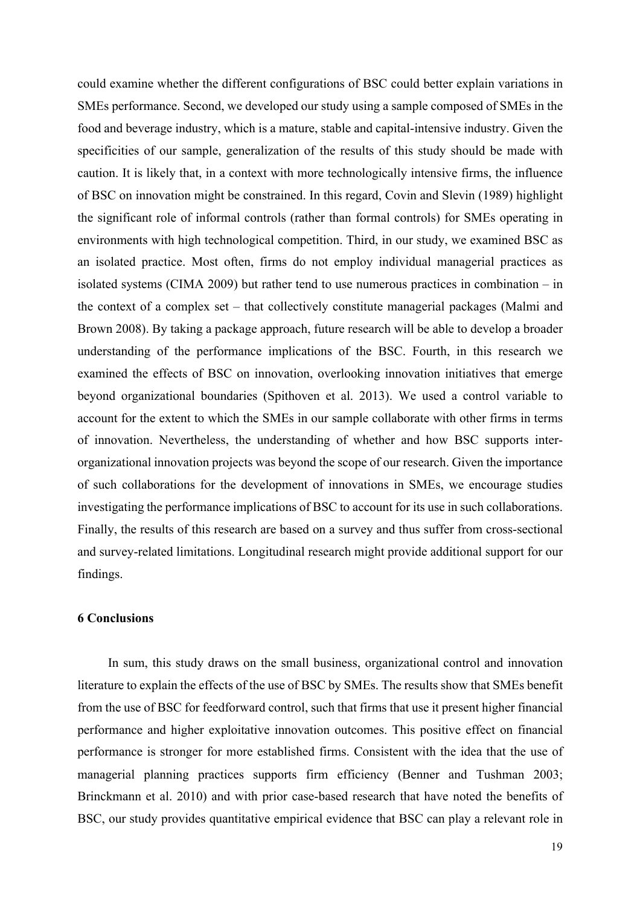could examine whether the different configurations of BSC could better explain variations in SMEs performance. Second, we developed our study using a sample composed of SMEs in the food and beverage industry, which is a mature, stable and capital-intensive industry. Given the specificities of our sample, generalization of the results of this study should be made with caution. It is likely that, in a context with more technologically intensive firms, the influence of BSC on innovation might be constrained. In this regard, Covin and Slevin (1989) highlight the significant role of informal controls (rather than formal controls) for SMEs operating in environments with high technological competition. Third, in our study, we examined BSC as an isolated practice. Most often, firms do not employ individual managerial practices as isolated systems (CIMA 2009) but rather tend to use numerous practices in combination – in the context of a complex set – that collectively constitute managerial packages (Malmi and Brown 2008). By taking a package approach, future research will be able to develop a broader understanding of the performance implications of the BSC. Fourth, in this research we examined the effects of BSC on innovation, overlooking innovation initiatives that emerge beyond organizational boundaries (Spithoven et al. 2013). We used a control variable to account for the extent to which the SMEs in our sample collaborate with other firms in terms of innovation. Nevertheless, the understanding of whether and how BSC supports interorganizational innovation projects was beyond the scope of our research. Given the importance of such collaborations for the development of innovations in SMEs, we encourage studies investigating the performance implications of BSC to account for its use in such collaborations. Finally, the results of this research are based on a survey and thus suffer from cross-sectional and survey-related limitations. Longitudinal research might provide additional support for our findings.

### **6 Conclusions**

In sum, this study draws on the small business, organizational control and innovation literature to explain the effects of the use of BSC by SMEs. The results show that SMEs benefit from the use of BSC for feedforward control, such that firms that use it present higher financial performance and higher exploitative innovation outcomes. This positive effect on financial performance is stronger for more established firms. Consistent with the idea that the use of managerial planning practices supports firm efficiency (Benner and Tushman 2003; Brinckmann et al. 2010) and with prior case-based research that have noted the benefits of BSC, our study provides quantitative empirical evidence that BSC can play a relevant role in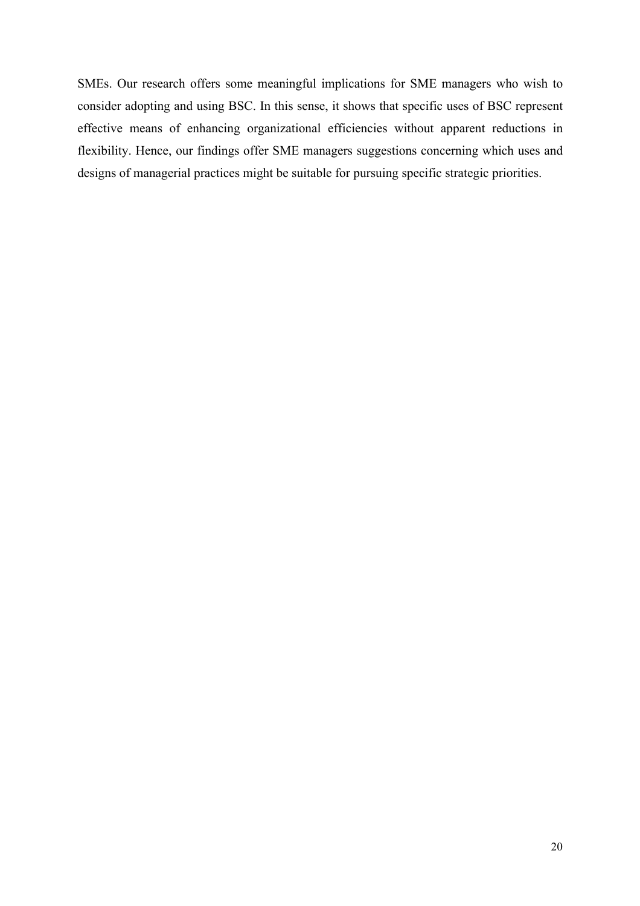SMEs. Our research offers some meaningful implications for SME managers who wish to consider adopting and using BSC. In this sense, it shows that specific uses of BSC represent effective means of enhancing organizational efficiencies without apparent reductions in flexibility. Hence, our findings offer SME managers suggestions concerning which uses and designs of managerial practices might be suitable for pursuing specific strategic priorities.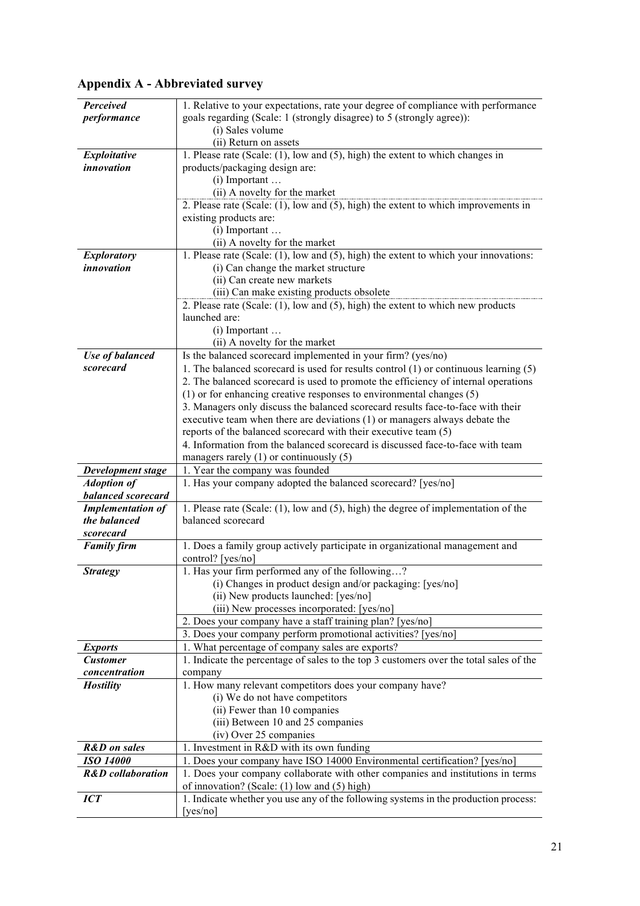| Perceived                    | 1. Relative to your expectations, rate your degree of compliance with performance        |
|------------------------------|------------------------------------------------------------------------------------------|
| performance                  | goals regarding (Scale: 1 (strongly disagree) to 5 (strongly agree)):                    |
|                              | (i) Sales volume                                                                         |
|                              | (ii) Return on assets                                                                    |
| Exploitative                 | 1. Please rate (Scale: (1), low and (5), high) the extent to which changes in            |
| <i>innovation</i>            | products/packaging design are:                                                           |
|                              | $(i)$ Important                                                                          |
|                              | (ii) A novelty for the market                                                            |
|                              | 2. Please rate (Scale: $(1)$ , low and $(5)$ , high) the extent to which improvements in |
|                              | existing products are:                                                                   |
|                              |                                                                                          |
|                              | $(i)$ Important                                                                          |
|                              | (ii) A novelty for the market                                                            |
| <b>Exploratory</b>           | 1. Please rate (Scale: (1), low and (5), high) the extent to which your innovations:     |
| <i>innovation</i>            | (i) Can change the market structure                                                      |
|                              | (ii) Can create new markets                                                              |
|                              | (iii) Can make existing products obsolete                                                |
|                              | 2. Please rate (Scale: (1), low and (5), high) the extent to which new products          |
|                              | launched are:                                                                            |
|                              | $(i)$ Important $\dots$                                                                  |
|                              | (ii) A novelty for the market                                                            |
| <b>Use of balanced</b>       | Is the balanced scorecard implemented in your firm? (yes/no)                             |
| scorecard                    | 1. The balanced scorecard is used for results control (1) or continuous learning (5)     |
|                              | 2. The balanced scorecard is used to promote the efficiency of internal operations       |
|                              | $(1)$ or for enhancing creative responses to environmental changes $(5)$                 |
|                              | 3. Managers only discuss the balanced scorecard results face-to-face with their          |
|                              | executive team when there are deviations (1) or managers always debate the               |
|                              | reports of the balanced scorecard with their executive team (5)                          |
|                              | 4. Information from the balanced scorecard is discussed face-to-face with team           |
|                              | managers rarely $(1)$ or continuously $(5)$                                              |
| Development stage            | 1. Year the company was founded                                                          |
| <b>Adoption of</b>           | 1. Has your company adopted the balanced scorecard? [yes/no]                             |
| balanced scorecard           |                                                                                          |
| <b>Implementation of</b>     | 1. Please rate (Scale: (1), low and (5), high) the degree of implementation of the       |
| the balanced                 | balanced scorecard                                                                       |
| scorecard                    |                                                                                          |
|                              |                                                                                          |
| <b>Family firm</b>           | 1. Does a family group actively participate in organizational management and             |
|                              | control? [yes/no]                                                                        |
| <i><b>Strategy</b></i>       | 1. Has your firm performed any of the following?                                         |
|                              | (i) Changes in product design and/or packaging: [yes/no]                                 |
|                              | (ii) New products launched: [yes/no]                                                     |
|                              | (iii) New processes incorporated: [yes/no]                                               |
|                              | 2. Does your company have a staff training plan? [yes/no]                                |
|                              | 3. Does your company perform promotional activities? [yes/no]                            |
| <b>Exports</b>               | 1. What percentage of company sales are exports?                                         |
| <b>Customer</b>              | 1. Indicate the percentage of sales to the top 3 customers over the total sales of the   |
| concentration                | company                                                                                  |
| <b>Hostility</b>             | 1. How many relevant competitors does your company have?                                 |
|                              | (i) We do not have competitors                                                           |
|                              | (ii) Fewer than 10 companies                                                             |
|                              | (iii) Between 10 and 25 companies                                                        |
|                              | (iv) Over 25 companies                                                                   |
| <b>R&amp;D</b> on sales      | 1. Investment in R&D with its own funding                                                |
| <b>ISO 14000</b>             | 1. Does your company have ISO 14000 Environmental certification? [yes/no]                |
| <b>R&amp;D</b> collaboration | 1. Does your company collaborate with other companies and institutions in terms          |
|                              | of innovation? (Scale: (1) low and (5) high)                                             |
| <b>ICT</b>                   | 1. Indicate whether you use any of the following systems in the production process:      |
|                              | [yes/no]                                                                                 |
|                              |                                                                                          |

# **Appendix A - Abbreviated survey**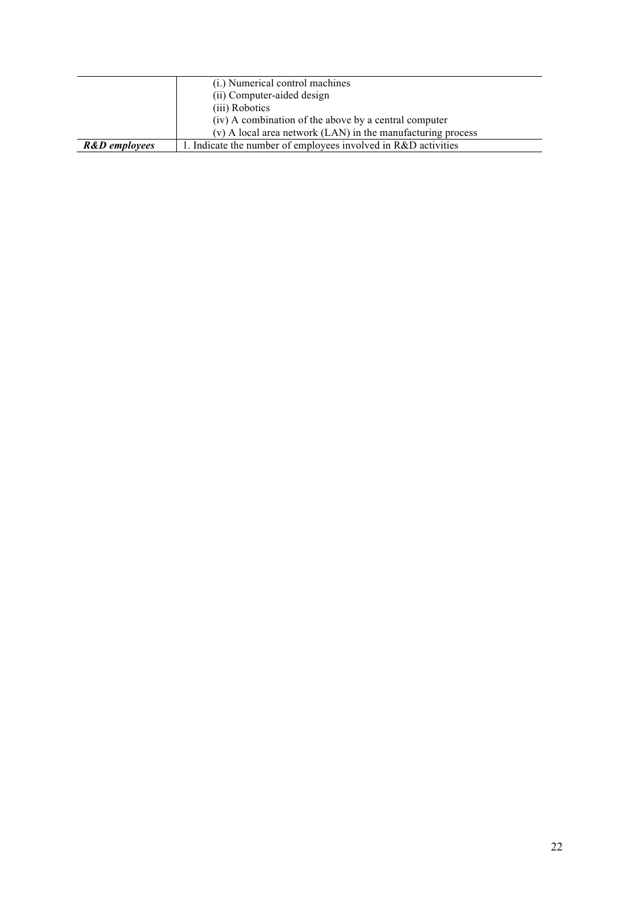|                          | (i.) Numerical control machines                               |
|--------------------------|---------------------------------------------------------------|
|                          | (ii) Computer-aided design                                    |
|                          | (iii) Robotics                                                |
|                          | (iv) A combination of the above by a central computer         |
|                          | (v) A local area network (LAN) in the manufacturing process   |
| <b>R&amp;D</b> employees | . Indicate the number of employees involved in R&D activities |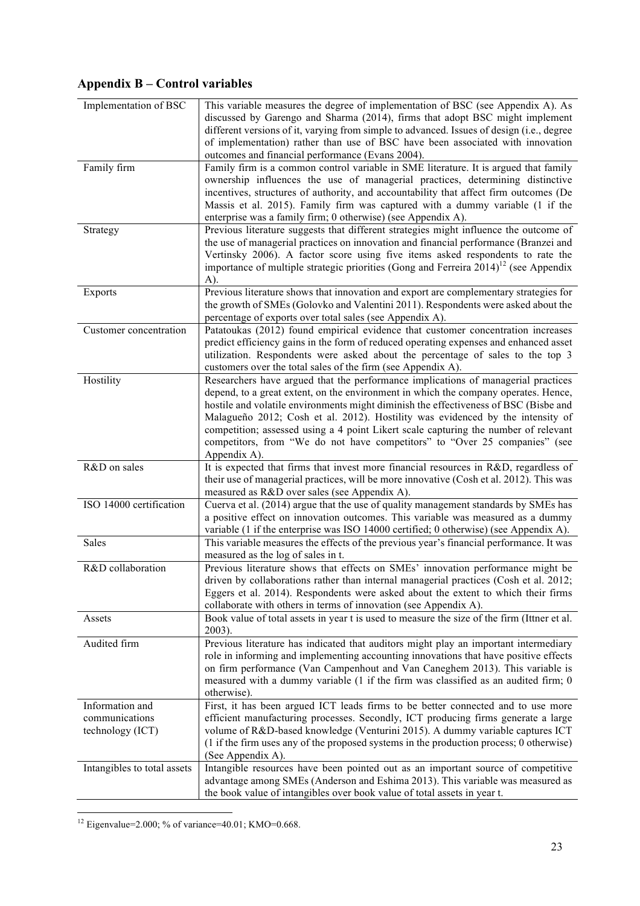# **Appendix B – Control variables**

| Implementation of BSC                                 | This variable measures the degree of implementation of BSC (see Appendix A). As<br>discussed by Garengo and Sharma (2014), firms that adopt BSC might implement<br>different versions of it, varying from simple to advanced. Issues of design (i.e., degree<br>of implementation) rather than use of BSC have been associated with innovation<br>outcomes and financial performance (Evans 2004).                                                                                                                                      |
|-------------------------------------------------------|-----------------------------------------------------------------------------------------------------------------------------------------------------------------------------------------------------------------------------------------------------------------------------------------------------------------------------------------------------------------------------------------------------------------------------------------------------------------------------------------------------------------------------------------|
| Family firm                                           | Family firm is a common control variable in SME literature. It is argued that family<br>ownership influences the use of managerial practices, determining distinctive<br>incentives, structures of authority, and accountability that affect firm outcomes (De<br>Massis et al. 2015). Family firm was captured with a dummy variable (1 if the<br>enterprise was a family firm; 0 otherwise) (see Appendix A).                                                                                                                         |
| Strategy                                              | Previous literature suggests that different strategies might influence the outcome of<br>the use of managerial practices on innovation and financial performance (Branzei and<br>Vertinsky 2006). A factor score using five items asked respondents to rate the<br>importance of multiple strategic priorities (Gong and Ferreira $2014$ ) <sup>12</sup> (see Appendix<br>A).                                                                                                                                                           |
| <b>Exports</b>                                        | Previous literature shows that innovation and export are complementary strategies for<br>the growth of SMEs (Golovko and Valentini 2011). Respondents were asked about the<br>percentage of exports over total sales (see Appendix A).                                                                                                                                                                                                                                                                                                  |
| Customer concentration                                | Patatoukas (2012) found empirical evidence that customer concentration increases<br>predict efficiency gains in the form of reduced operating expenses and enhanced asset<br>utilization. Respondents were asked about the percentage of sales to the top 3<br>customers over the total sales of the firm (see Appendix A).                                                                                                                                                                                                             |
| Hostility                                             | Researchers have argued that the performance implications of managerial practices<br>depend, to a great extent, on the environment in which the company operates. Hence,<br>hostile and volatile environments might diminish the effectiveness of BSC (Bisbe and<br>Malagueño 2012; Cosh et al. 2012). Hostility was evidenced by the intensity of<br>competition; assessed using a 4 point Likert scale capturing the number of relevant<br>competitors, from "We do not have competitors" to "Over 25 companies" (see<br>Appendix A). |
| R&D on sales                                          | It is expected that firms that invest more financial resources in R&D, regardless of<br>their use of managerial practices, will be more innovative (Cosh et al. 2012). This was<br>measured as R&D over sales (see Appendix A).                                                                                                                                                                                                                                                                                                         |
| ISO 14000 certification                               | Cuerva et al. (2014) argue that the use of quality management standards by SMEs has<br>a positive effect on innovation outcomes. This variable was measured as a dummy<br>variable (1 if the enterprise was ISO 14000 certified; 0 otherwise) (see Appendix A).                                                                                                                                                                                                                                                                         |
| Sales                                                 | This variable measures the effects of the previous year's financial performance. It was<br>measured as the log of sales in t.                                                                                                                                                                                                                                                                                                                                                                                                           |
| R&D collaboration                                     | Previous literature shows that effects on SMEs' innovation performance might be<br>driven by collaborations rather than internal managerial practices (Cosh et al. 2012;<br>Eggers et al. 2014). Respondents were asked about the extent to which their firms<br>collaborate with others in terms of innovation (see Appendix A).                                                                                                                                                                                                       |
| Assets                                                | Book value of total assets in year t is used to measure the size of the firm (Ittner et al.<br>2003).                                                                                                                                                                                                                                                                                                                                                                                                                                   |
| Audited firm                                          | Previous literature has indicated that auditors might play an important intermediary<br>role in informing and implementing accounting innovations that have positive effects<br>on firm performance (Van Campenhout and Van Caneghem 2013). This variable is<br>measured with a dummy variable (1 if the firm was classified as an audited firm; 0<br>otherwise).                                                                                                                                                                       |
| Information and<br>communications<br>technology (ICT) | First, it has been argued ICT leads firms to be better connected and to use more<br>efficient manufacturing processes. Secondly, ICT producing firms generate a large<br>volume of R&D-based knowledge (Venturini 2015). A dummy variable captures ICT<br>(1 if the firm uses any of the proposed systems in the production process; 0 otherwise)<br>(See Appendix A).                                                                                                                                                                  |
| Intangibles to total assets                           | Intangible resources have been pointed out as an important source of competitive<br>advantage among SMEs (Anderson and Eshima 2013). This variable was measured as<br>the book value of intangibles over book value of total assets in year t.                                                                                                                                                                                                                                                                                          |

<sup>&</sup>lt;sup>12</sup> Eigenvalue=2.000; % of variance=40.01; KMO=0.668.

<u> 1989 - Johann Barn, mars ann an t-Amhain an t-Amhain an t-Amhain an t-Amhain an t-Amhain an t-Amhain an t-Amh</u>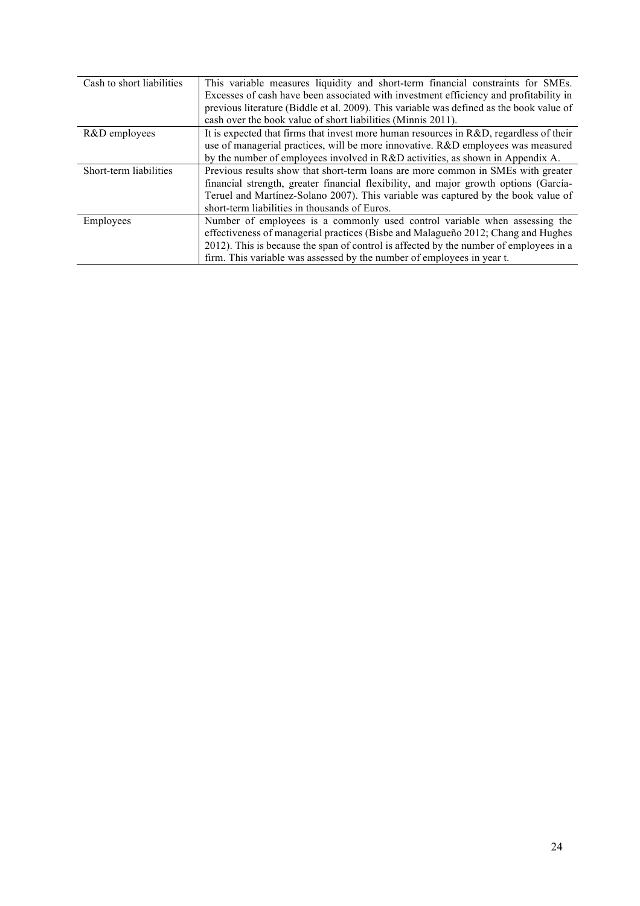| Cash to short liabilities | This variable measures liquidity and short-term financial constraints for SMEs.          |
|---------------------------|------------------------------------------------------------------------------------------|
|                           | Excesses of cash have been associated with investment efficiency and profitability in    |
|                           | previous literature (Biddle et al. 2009). This variable was defined as the book value of |
|                           | cash over the book value of short liabilities (Minnis 2011).                             |
| R&D employees             | It is expected that firms that invest more human resources in R&D, regardless of their   |
|                           | use of managerial practices, will be more innovative. R&D employees was measured         |
|                           | by the number of employees involved in R&D activities, as shown in Appendix A.           |
| Short-term liabilities    | Previous results show that short-term loans are more common in SMEs with greater         |
|                           | financial strength, greater financial flexibility, and major growth options (García-     |
|                           | Teruel and Martínez-Solano 2007). This variable was captured by the book value of        |
|                           | short-term liabilities in thousands of Euros.                                            |
| Employees                 | Number of employees is a commonly used control variable when assessing the               |
|                           | effectiveness of managerial practices (Bisbe and Malagueño 2012; Chang and Hughes        |
|                           | 2012). This is because the span of control is affected by the number of employees in a   |
|                           | firm. This variable was assessed by the number of employees in year t.                   |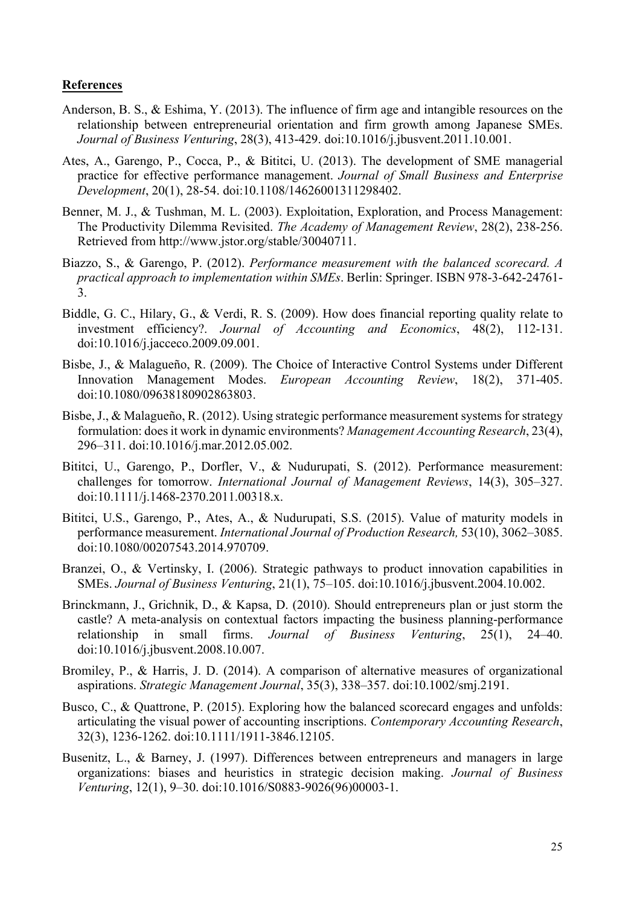# **References**

- Anderson, B. S., & Eshima, Y. (2013). The influence of firm age and intangible resources on the relationship between entrepreneurial orientation and firm growth among Japanese SMEs. *Journal of Business Venturing*, 28(3), 413-429. doi:10.1016/j.jbusvent.2011.10.001.
- Ates, A., Garengo, P., Cocca, P., & Bititci, U. (2013). The development of SME managerial practice for effective performance management. *Journal of Small Business and Enterprise Development*, 20(1), 28-54. doi:10.1108/14626001311298402.
- Benner, M. J., & Tushman, M. L. (2003). Exploitation, Exploration, and Process Management: The Productivity Dilemma Revisited. *The Academy of Management Review*, 28(2), 238-256. Retrieved from http://www.jstor.org/stable/30040711.
- Biazzo, S., & Garengo, P. (2012). *Performance measurement with the balanced scorecard. A practical approach to implementation within SMEs*. Berlin: Springer. ISBN 978-3-642-24761- 3.
- Biddle, G. C., Hilary, G., & Verdi, R. S. (2009). How does financial reporting quality relate to investment efficiency?. *Journal of Accounting and Economics*, 48(2), 112-131. doi:10.1016/j.jacceco.2009.09.001.
- Bisbe, J., & Malagueño, R. (2009). The Choice of Interactive Control Systems under Different Innovation Management Modes. *European Accounting Review*, 18(2), 371-405. doi:10.1080/09638180902863803.
- Bisbe, J., & Malagueño, R. (2012). Using strategic performance measurement systems for strategy formulation: does it work in dynamic environments? *Management Accounting Research*, 23(4), 296–311. doi:10.1016/j.mar.2012.05.002.
- Bititci, U., Garengo, P., Dorfler, V., & Nudurupati, S. (2012). Performance measurement: challenges for tomorrow. *International Journal of Management Reviews*, 14(3), 305–327. doi:10.1111/j.1468-2370.2011.00318.x.
- Bititci, U.S., Garengo, P., Ates, A., & Nudurupati, S.S. (2015). Value of maturity models in performance measurement. *International Journal of Production Research,* 53(10), 3062–3085. doi:10.1080/00207543.2014.970709.
- Branzei, O., & Vertinsky, I. (2006). Strategic pathways to product innovation capabilities in SMEs. *Journal of Business Venturing*, 21(1), 75–105. doi:10.1016/j.jbusvent.2004.10.002.
- Brinckmann, J., Grichnik, D., & Kapsa, D. (2010). Should entrepreneurs plan or just storm the castle? A meta-analysis on contextual factors impacting the business planning-performance relationship in small firms. *Journal of Business Venturing*, 25(1), 24–40. doi:10.1016/j.jbusvent.2008.10.007.
- Bromiley, P., & Harris, J. D. (2014). A comparison of alternative measures of organizational aspirations. *Strategic Management Journal*, 35(3), 338–357. doi:10.1002/smj.2191.
- Busco, C., & Quattrone, P. (2015). Exploring how the balanced scorecard engages and unfolds: articulating the visual power of accounting inscriptions. *Contemporary Accounting Research*, 32(3), 1236-1262. doi:10.1111/1911-3846.12105.
- Busenitz, L., & Barney, J. (1997). Differences between entrepreneurs and managers in large organizations: biases and heuristics in strategic decision making. *Journal of Business Venturing*, 12(1), 9–30. doi:10.1016/S0883-9026(96)00003-1.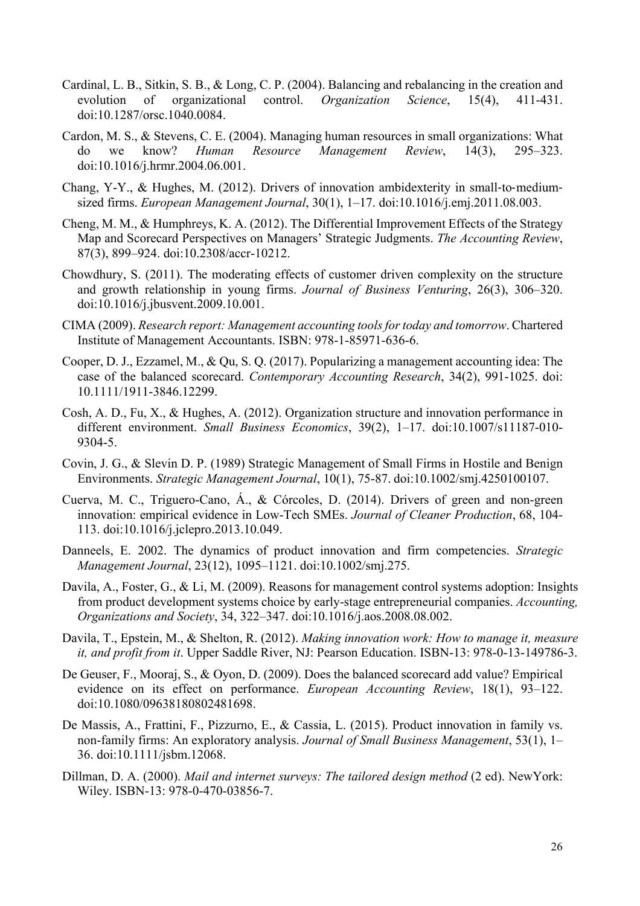- Cardinal, L. B., Sitkin, S. B., & Long, C. P. (2004). Balancing and rebalancing in the creation and evolution of organizational control. *Organization Science*, 15(4), 411-431. doi:10.1287/orsc.1040.0084.
- Cardon, M. S., & Stevens, C. E. (2004). Managing human resources in small organizations: What do we know? *Human Resource Management Review*, 14(3), 295–323. doi:10.1016/j.hrmr.2004.06.001.
- Chang, Y-Y., & Hughes, M. (2012). Drivers of innovation ambidexterity in small-to-mediumsized firms. *European Management Journal*, 30(1), 1–17. doi:10.1016/j.emj.2011.08.003.
- Cheng, M. M., & Humphreys, K. A. (2012). The Differential Improvement Effects of the Strategy Map and Scorecard Perspectives on Managers' Strategic Judgments. *The Accounting Review*, 87(3), 899–924. doi:10.2308/accr-10212.
- Chowdhury, S. (2011). The moderating effects of customer driven complexity on the structure and growth relationship in young firms. *Journal of Business Venturing*, 26(3), 306–320. doi:10.1016/j.jbusvent.2009.10.001.
- CIMA (2009). *Research report: Management accounting tools for today and tomorrow*. Chartered Institute of Management Accountants. ISBN: 978-1-85971-636-6.
- Cooper, D. J., Ezzamel, M., & Qu, S. Q. (2017). Popularizing a management accounting idea: The case of the balanced scorecard. *Contemporary Accounting Research*, 34(2), 991-1025. doi: 10.1111/1911-3846.12299.
- Cosh, A. D., Fu, X., & Hughes, A. (2012). Organization structure and innovation performance in different environment. *Small Business Economics*, 39(2), 1–17. doi:10.1007/s11187-010- 9304-5.
- Covin, J. G., & Slevin D. P. (1989) Strategic Management of Small Firms in Hostile and Benign Environments. *Strategic Management Journal*, 10(1), 75-87. doi:10.1002/smj.4250100107.
- Cuerva, M. C., Triguero-Cano, Á., & Córcoles, D. (2014). Drivers of green and non-green innovation: empirical evidence in Low-Tech SMEs. *Journal of Cleaner Production*, 68, 104- 113. doi:10.1016/j.jclepro.2013.10.049.
- Danneels, E. 2002. The dynamics of product innovation and firm competencies. *Strategic Management Journal*, 23(12), 1095–1121. doi:10.1002/smj.275.
- Davila, A., Foster, G., & Li, M. (2009). Reasons for management control systems adoption: Insights from product development systems choice by early-stage entrepreneurial companies. *Accounting, Organizations and Society*, 34, 322–347. doi:10.1016/j.aos.2008.08.002.
- Davila, T., Epstein, M., & Shelton, R. (2012). *Making innovation work: How to manage it, measure it, and profit from it*. Upper Saddle River, NJ: Pearson Education. ISBN-13: 978-0-13-149786-3.
- De Geuser, F., Mooraj, S., & Oyon, D. (2009). Does the balanced scorecard add value? Empirical evidence on its effect on performance. *European Accounting Review*, 18(1), 93–122. doi:10.1080/09638180802481698.
- De Massis, A., Frattini, F., Pizzurno, E., & Cassia, L. (2015). Product innovation in family vs. non-family firms: An exploratory analysis. *Journal of Small Business Management*, 53(1), 1– 36. doi:10.1111/jsbm.12068.
- Dillman, D. A. (2000). *Mail and internet surveys: The tailored design method* (2 ed). NewYork: Wiley. ISBN-13: 978-0-470-03856-7.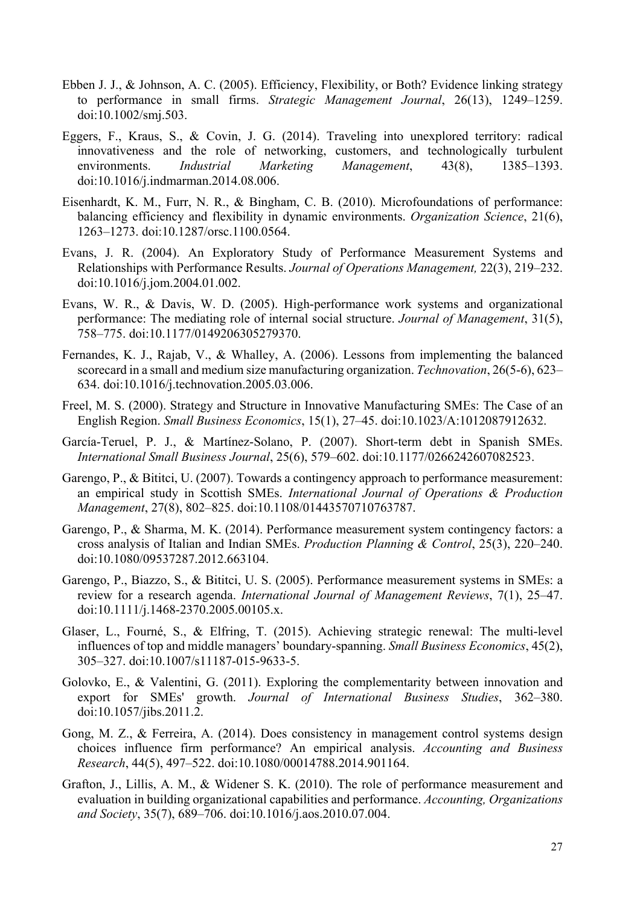- Ebben J. J., & Johnson, A. C. (2005). Efficiency, Flexibility, or Both? Evidence linking strategy to performance in small firms. *Strategic Management Journal*, 26(13), 1249–1259. doi:10.1002/smj.503.
- Eggers, F., Kraus, S., & Covin, J. G. (2014). Traveling into unexplored territory: radical innovativeness and the role of networking, customers, and technologically turbulent environments. *Industrial Marketing Management*, 43(8), 1385–1393. doi:10.1016/j.indmarman.2014.08.006.
- Eisenhardt, K. M., Furr, N. R., & Bingham, C. B. (2010). Microfoundations of performance: balancing efficiency and flexibility in dynamic environments. *Organization Science*, 21(6), 1263–1273. doi:10.1287/orsc.1100.0564.
- Evans, J. R. (2004). An Exploratory Study of Performance Measurement Systems and Relationships with Performance Results. *Journal of Operations Management,* 22(3), 219–232. doi:10.1016/j.jom.2004.01.002.
- Evans, W. R., & Davis, W. D. (2005). High-performance work systems and organizational performance: The mediating role of internal social structure. *Journal of Management*, 31(5), 758–775. doi:10.1177/0149206305279370.
- Fernandes, K. J., Rajab, V., & Whalley, A. (2006). Lessons from implementing the balanced scorecard in a small and medium size manufacturing organization. *Technovation*, 26(5-6), 623– 634. doi:10.1016/j.technovation.2005.03.006.
- Freel, M. S. (2000). Strategy and Structure in Innovative Manufacturing SMEs: The Case of an English Region. *Small Business Economics*, 15(1), 27–45. doi:10.1023/A:1012087912632.
- García-Teruel, P. J., & Martínez-Solano, P. (2007). Short-term debt in Spanish SMEs. *International Small Business Journal*, 25(6), 579–602. doi:10.1177/0266242607082523.
- Garengo, P., & Bititci, U. (2007). Towards a contingency approach to performance measurement: an empirical study in Scottish SMEs. *International Journal of Operations & Production Management*, 27(8), 802–825. doi:10.1108/01443570710763787.
- Garengo, P., & Sharma, M. K. (2014). Performance measurement system contingency factors: a cross analysis of Italian and Indian SMEs. *Production Planning & Control*, 25(3), 220–240. doi:10.1080/09537287.2012.663104.
- Garengo, P., Biazzo, S., & Bititci, U. S. (2005). Performance measurement systems in SMEs: a review for a research agenda. *International Journal of Management Reviews*, 7(1), 25–47. doi:10.1111/j.1468-2370.2005.00105.x.
- Glaser, L., Fourné, S., & Elfring, T. (2015). Achieving strategic renewal: The multi-level influences of top and middle managers' boundary-spanning. *Small Business Economics*, 45(2), 305–327. doi:10.1007/s11187-015-9633-5.
- Golovko, E., & Valentini, G. (2011). Exploring the complementarity between innovation and export for SMEs' growth. *Journal of International Business Studies*, 362–380. doi:10.1057/jibs.2011.2.
- Gong, M. Z., & Ferreira, A. (2014). Does consistency in management control systems design choices influence firm performance? An empirical analysis. *Accounting and Business Research*, 44(5), 497–522. doi:10.1080/00014788.2014.901164.
- Grafton, J., Lillis, A. M., & Widener S. K. (2010). The role of performance measurement and evaluation in building organizational capabilities and performance. *Accounting, Organizations and Society*, 35(7), 689–706. doi:10.1016/j.aos.2010.07.004.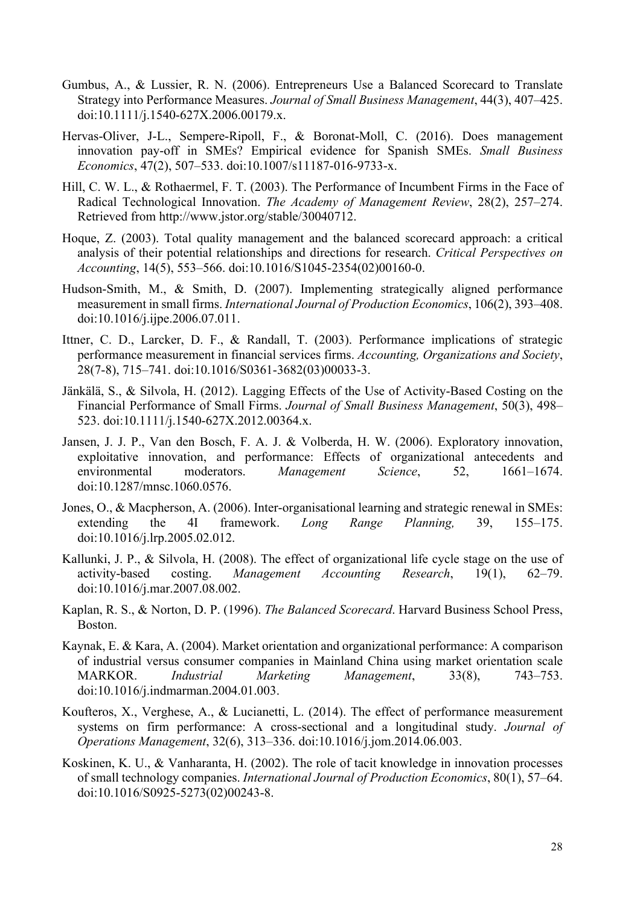- Gumbus, A., & Lussier, R. N. (2006). Entrepreneurs Use a Balanced Scorecard to Translate Strategy into Performance Measures. *Journal of Small Business Management*, 44(3), 407–425. doi:10.1111/j.1540-627X.2006.00179.x.
- Hervas-Oliver, J-L., Sempere-Ripoll, F., & Boronat-Moll, C. (2016). Does management innovation pay-off in SMEs? Empirical evidence for Spanish SMEs. *Small Business Economics*, 47(2), 507–533. doi:10.1007/s11187-016-9733-x.
- Hill, C. W. L., & Rothaermel, F. T. (2003). The Performance of Incumbent Firms in the Face of Radical Technological Innovation. *The Academy of Management Review*, 28(2), 257–274. Retrieved from http://www.jstor.org/stable/30040712.
- Hoque, Z. (2003). Total quality management and the balanced scorecard approach: a critical analysis of their potential relationships and directions for research. *Critical Perspectives on Accounting*, 14(5), 553–566. doi:10.1016/S1045-2354(02)00160-0.
- Hudson-Smith, M., & Smith, D. (2007). Implementing strategically aligned performance measurement in small firms. *International Journal of Production Economics*, 106(2), 393–408. doi:10.1016/j.ijpe.2006.07.011.
- Ittner, C. D., Larcker, D. F., & Randall, T. (2003). Performance implications of strategic performance measurement in financial services firms. *Accounting, Organizations and Society*, 28(7-8), 715–741. doi:10.1016/S0361-3682(03)00033-3.
- Jänkälä, S., & Silvola, H. (2012). Lagging Effects of the Use of Activity-Based Costing on the Financial Performance of Small Firms. *Journal of Small Business Management*, 50(3), 498– 523. doi:10.1111/j.1540-627X.2012.00364.x.
- Jansen, J. J. P., Van den Bosch, F. A. J. & Volberda, H. W. (2006). Exploratory innovation, exploitative innovation, and performance: Effects of organizational antecedents and environmental moderators. *Management Science*, 52, 1661–1674. doi:10.1287/mnsc.1060.0576.
- Jones, O., & Macpherson, A. (2006). Inter-organisational learning and strategic renewal in SMEs: extending the 4I framework. *Long Range Planning,* 39, 155–175. doi:10.1016/j.lrp.2005.02.012.
- Kallunki, J. P., & Silvola, H. (2008). The effect of organizational life cycle stage on the use of activity-based costing. *Management Accounting Research*, 19(1), 62–79. doi:10.1016/j.mar.2007.08.002.
- Kaplan, R. S., & Norton, D. P. (1996). *The Balanced Scorecard*. Harvard Business School Press, Boston.
- Kaynak, E. & Kara, A. (2004). Market orientation and organizational performance: A comparison of industrial versus consumer companies in Mainland China using market orientation scale MARKOR. *Industrial Marketing Management*, 33(8), 743–753. doi:10.1016/j.indmarman.2004.01.003.
- Koufteros, X., Verghese, A., & Lucianetti, L. (2014). The effect of performance measurement systems on firm performance: A cross-sectional and a longitudinal study. *Journal of Operations Management*, 32(6), 313–336. doi:10.1016/j.jom.2014.06.003.
- Koskinen, K. U., & Vanharanta, H. (2002). The role of tacit knowledge in innovation processes of small technology companies. *International Journal of Production Economics*, 80(1), 57–64. doi:10.1016/S0925-5273(02)00243-8.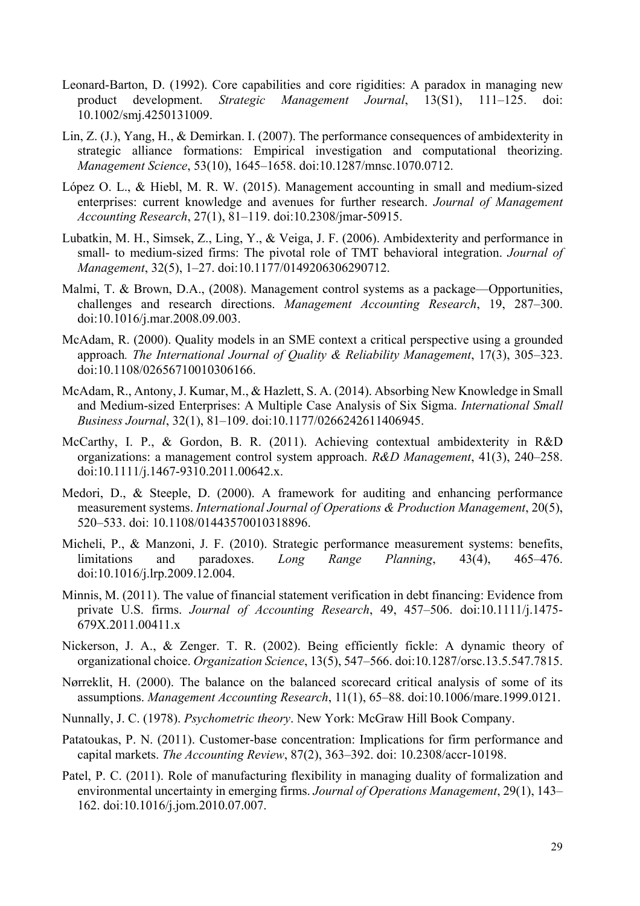- Leonard-Barton, D. (1992). Core capabilities and core rigidities: A paradox in managing new product development. *Strategic Management Journal*, 13(S1), 111–125. doi: 10.1002/smj.4250131009.
- Lin, Z. (J.), Yang, H., & Demirkan. I. (2007). The performance consequences of ambidexterity in strategic alliance formations: Empirical investigation and computational theorizing. *Management Science*, 53(10), 1645–1658. doi:10.1287/mnsc.1070.0712.
- López O. L., & Hiebl, M. R. W. (2015). Management accounting in small and medium-sized enterprises: current knowledge and avenues for further research. *Journal of Management Accounting Research*, 27(1), 81–119. doi:10.2308/jmar-50915.
- Lubatkin, M. H., Simsek, Z., Ling, Y., & Veiga, J. F. (2006). Ambidexterity and performance in small- to medium-sized firms: The pivotal role of TMT behavioral integration. *Journal of Management*, 32(5), 1–27. doi:10.1177/0149206306290712.
- Malmi, T. & Brown, D.A., (2008). Management control systems as a package—Opportunities, challenges and research directions. *Management Accounting Research*, 19, 287–300. doi:10.1016/j.mar.2008.09.003.
- McAdam, R. (2000). Quality models in an SME context a critical perspective using a grounded approach*. The International Journal of Quality & Reliability Management*, 17(3), 305–323. doi:10.1108/02656710010306166.
- McAdam, R., Antony, J. Kumar, M., & Hazlett, S. A. (2014). Absorbing New Knowledge in Small and Medium-sized Enterprises: A Multiple Case Analysis of Six Sigma. *International Small Business Journal*, 32(1), 81–109. doi:10.1177/0266242611406945.
- McCarthy, I. P., & Gordon, B. R. (2011). Achieving contextual ambidexterity in R&D organizations: a management control system approach. *R&D Management*, 41(3), 240–258. doi:10.1111/j.1467-9310.2011.00642.x.
- Medori, D., & Steeple, D. (2000). A framework for auditing and enhancing performance measurement systems. *International Journal of Operations & Production Management*, 20(5), 520–533. doi: 10.1108/01443570010318896.
- Micheli, P., & Manzoni, J. F. (2010). Strategic performance measurement systems: benefits, limitations and paradoxes. *Long Range Planning*, 43(4), 465–476. doi:10.1016/j.lrp.2009.12.004.
- Minnis, M. (2011). The value of financial statement verification in debt financing: Evidence from private U.S. firms. *Journal of Accounting Research*, 49, 457–506. doi:10.1111/j.1475- 679X.2011.00411.x
- Nickerson, J. A., & Zenger. T. R. (2002). Being efficiently fickle: A dynamic theory of organizational choice. *Organization Science*, 13(5), 547–566. doi:10.1287/orsc.13.5.547.7815.
- Nørreklit, H. (2000). The balance on the balanced scorecard critical analysis of some of its assumptions. *Management Accounting Research*, 11(1), 65–88. doi:10.1006/mare.1999.0121.
- Nunnally, J. C. (1978). *Psychometric theory*. New York: McGraw Hill Book Company.
- Patatoukas, P. N. (2011). Customer-base concentration: Implications for firm performance and capital markets. *The Accounting Review*, 87(2), 363–392. doi: 10.2308/accr-10198.
- Patel, P. C. (2011). Role of manufacturing flexibility in managing duality of formalization and environmental uncertainty in emerging firms. *Journal of Operations Management*, 29(1), 143– 162. doi:10.1016/j.jom.2010.07.007.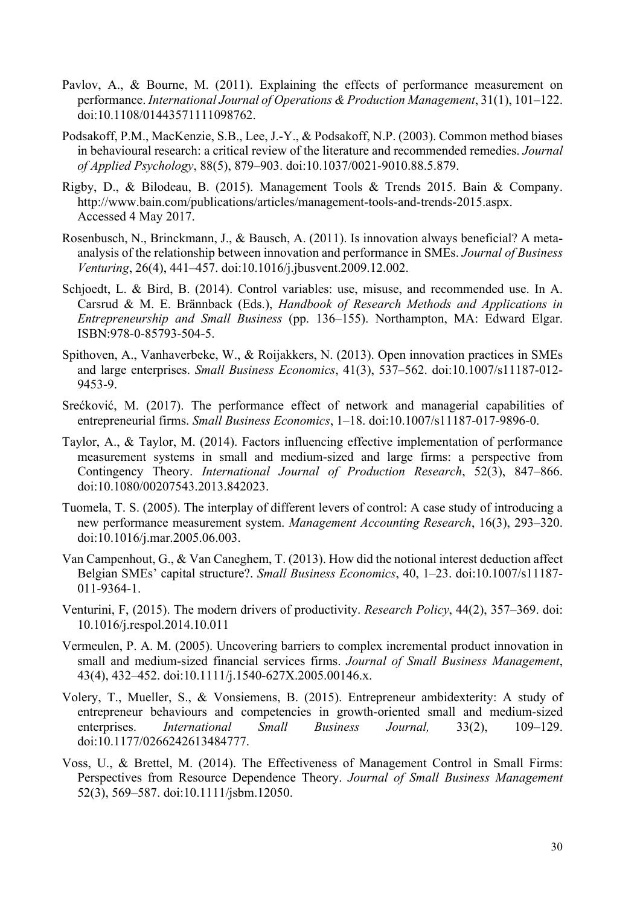- Pavlov, A., & Bourne, M. (2011). Explaining the effects of performance measurement on performance. *International Journal of Operations & Production Management*, 31(1), 101–122. doi:10.1108/01443571111098762.
- Podsakoff, P.M., MacKenzie, S.B., Lee, J.-Y., & Podsakoff, N.P. (2003). Common method biases in behavioural research: a critical review of the literature and recommended remedies. *Journal of Applied Psychology*, 88(5), 879–903. doi:10.1037/0021-9010.88.5.879.
- Rigby, D., & Bilodeau, B. (2015). Management Tools & Trends 2015. Bain & Company. http://www.bain.com/publications/articles/management-tools-and-trends-2015.aspx. Accessed 4 May 2017.
- Rosenbusch, N., Brinckmann, J., & Bausch, A. (2011). Is innovation always beneficial? A metaanalysis of the relationship between innovation and performance in SMEs. *Journal of Business Venturing*, 26(4), 441–457. doi:10.1016/j.jbusvent.2009.12.002.
- Schjoedt, L. & Bird, B. (2014). Control variables: use, misuse, and recommended use. In A. Carsrud & M. E. Brännback (Eds.), *Handbook of Research Methods and Applications in Entrepreneurship and Small Business* (pp. 136–155). Northampton, MA: Edward Elgar. ISBN:978-0-85793-504-5.
- Spithoven, A., Vanhaverbeke, W., & Roijakkers, N. (2013). Open innovation practices in SMEs and large enterprises. *Small Business Economics*, 41(3), 537–562. doi:10.1007/s11187-012- 9453-9.
- Srećković, M. (2017). The performance effect of network and managerial capabilities of entrepreneurial firms. *Small Business Economics*, 1–18. doi:10.1007/s11187-017-9896-0.
- Taylor, A., & Taylor, M. (2014). Factors influencing effective implementation of performance measurement systems in small and medium-sized and large firms: a perspective from Contingency Theory. *International Journal of Production Research*, 52(3), 847–866. doi:10.1080/00207543.2013.842023.
- Tuomela, T. S. (2005). The interplay of different levers of control: A case study of introducing a new performance measurement system. *Management Accounting Research*, 16(3), 293–320. doi:10.1016/j.mar.2005.06.003.
- Van Campenhout, G., & Van Caneghem, T. (2013). How did the notional interest deduction affect Belgian SMEs' capital structure?. *Small Business Economics*, 40, 1–23. doi:10.1007/s11187- 011-9364-1.
- Venturini, F, (2015). The modern drivers of productivity. *Research Policy*, 44(2), 357–369. doi: 10.1016/j.respol.2014.10.011
- Vermeulen, P. A. M. (2005). Uncovering barriers to complex incremental product innovation in small and medium-sized financial services firms. *Journal of Small Business Management*, 43(4), 432–452. doi:10.1111/j.1540-627X.2005.00146.x.
- Volery, T., Mueller, S., & Vonsiemens, B. (2015). Entrepreneur ambidexterity: A study of entrepreneur behaviours and competencies in growth-oriented small and medium-sized enterprises. *International Small Business Journal,* 33(2), 109–129. doi:10.1177/0266242613484777.
- Voss, U., & Brettel, M. (2014). The Effectiveness of Management Control in Small Firms: Perspectives from Resource Dependence Theory. *Journal of Small Business Management* 52(3), 569–587. doi:10.1111/jsbm.12050.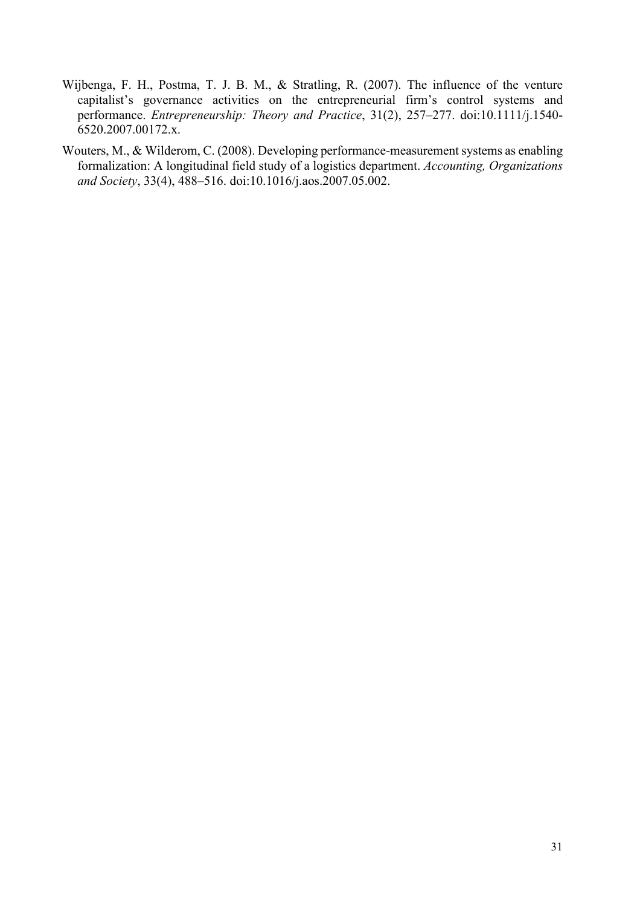- Wijbenga, F. H., Postma, T. J. B. M., & Stratling, R. (2007). The influence of the venture capitalist's governance activities on the entrepreneurial firm's control systems and performance. *Entrepreneurship: Theory and Practice*, 31(2), 257–277. doi:10.1111/j.1540- 6520.2007.00172.x.
- Wouters, M., & Wilderom, C. (2008). Developing performance-measurement systems as enabling formalization: A longitudinal field study of a logistics department. *Accounting, Organizations and Society*, 33(4), 488–516. doi:10.1016/j.aos.2007.05.002.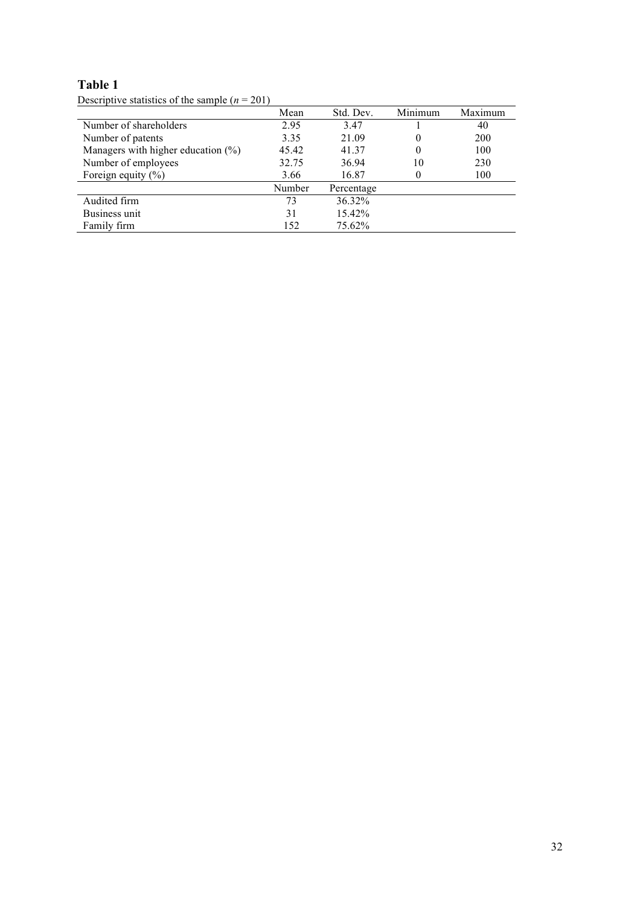|                                       | Mean   | Std. Dev.  | Minimum  | Maximum |
|---------------------------------------|--------|------------|----------|---------|
| Number of shareholders                | 2.95   | 3.47       |          | 40      |
| Number of patents                     | 3.35   | 21.09      | 0        | 200     |
| Managers with higher education $(\%)$ | 45.42  | 41.37      | $\theta$ | 100     |
| Number of employees                   | 32.75  | 36.94      | 10       | 230     |
| Foreign equity $(\% )$                | 3.66   | 16.87      | 0        | 100     |
|                                       | Number | Percentage |          |         |
| Audited firm                          | 73     | 36.32%     |          |         |
| Business unit                         | 31     | 15.42%     |          |         |
| Family firm                           | 152    | 75.62%     |          |         |

Descriptive statistics of the sample (*n* = 201)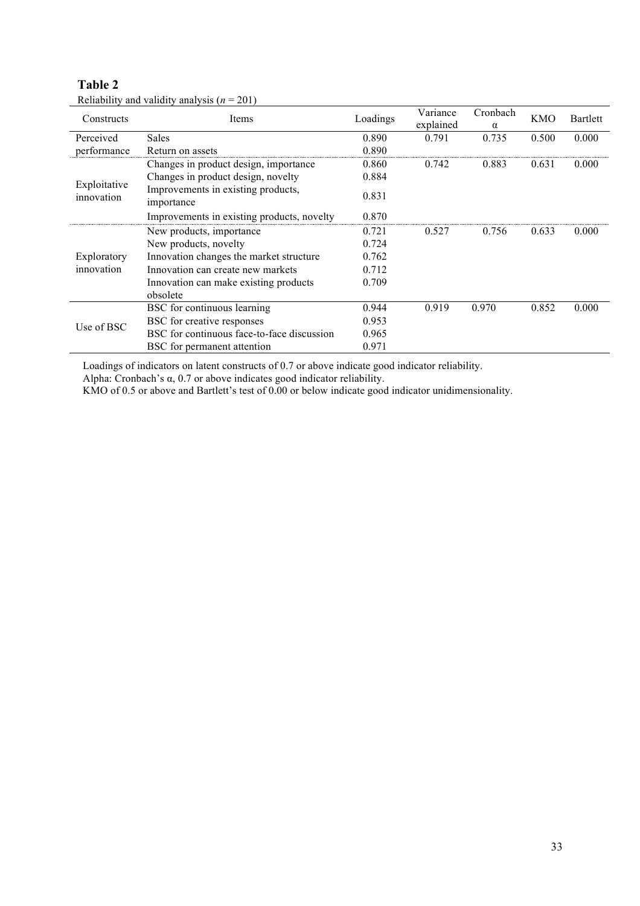| Constructs                 | Items                                            | Loadings | Variance<br>explained | Cronbach          | <b>KMO</b> | Bartlett |
|----------------------------|--------------------------------------------------|----------|-----------------------|-------------------|------------|----------|
| Perceived                  | Sales                                            | 0.890    | 0.791                 | $\alpha$<br>0.735 | 0.500      | 0.000    |
| performance                | Return on assets                                 | 0.890    |                       |                   |            |          |
|                            | Changes in product design, importance            | 0.860    | 0.742                 | 0.883             | 0.631      | 0.000    |
|                            | Changes in product design, novelty               | 0.884    |                       |                   |            |          |
| Exploitative<br>innovation | Improvements in existing products,<br>importance | 0.831    |                       |                   |            |          |
|                            | Improvements in existing products, novelty       | 0.870    |                       |                   |            |          |
|                            | New products, importance                         | 0.721    | 0.527                 | 0.756             | 0.633      | 0.000    |
|                            | New products, novelty                            | 0.724    |                       |                   |            |          |
| Exploratory                | Innovation changes the market structure          | 0.762    |                       |                   |            |          |
| innovation                 | Innovation can create new markets                | 0.712    |                       |                   |            |          |
|                            | Innovation can make existing products            | 0.709    |                       |                   |            |          |
|                            | obsolete                                         |          |                       |                   |            |          |
|                            | BSC for continuous learning                      | 0.944    | 0.919                 | 0.970             | 0.852      | 0.000    |
|                            | BSC for creative responses                       | 0.953    |                       |                   |            |          |
| Use of BSC                 | BSC for continuous face-to-face discussion       | 0.965    |                       |                   |            |          |
|                            | BSC for permanent attention                      | 0.971    |                       |                   |            |          |

Reliability and validity analysis (*n* = 201)

Loadings of indicators on latent constructs of 0.7 or above indicate good indicator reliability.

Alpha: Cronbach's  $\alpha$ , 0.7 or above indicates good indicator reliability.

KMO of 0.5 or above and Bartlett's test of 0.00 or below indicate good indicator unidimensionality.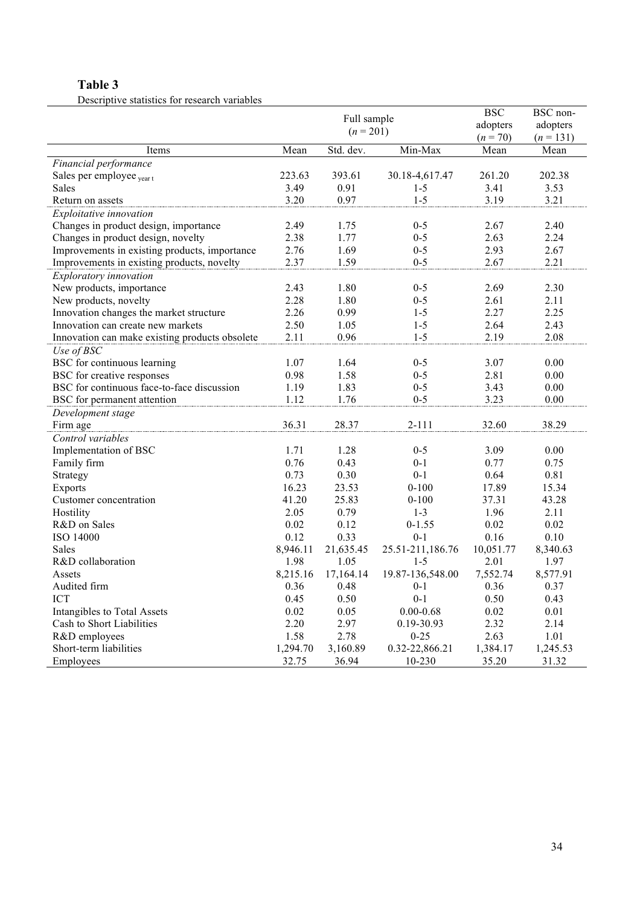Descriptive statistics for research variables

|                                                |                            |           |                  | <b>BSC</b> | BSC non-    |
|------------------------------------------------|----------------------------|-----------|------------------|------------|-------------|
|                                                | Full sample<br>$(n = 201)$ |           |                  | adopters   | adopters    |
|                                                |                            |           |                  | $(n = 70)$ | $(n = 131)$ |
| Items                                          | Mean                       | Std. dev. | Min-Max          | Mean       | Mean        |
| Financial performance                          |                            |           |                  |            |             |
| Sales per employee <sub>yeart</sub>            | 223.63                     | 393.61    | 30.18-4,617.47   | 261.20     | 202.38      |
| <b>Sales</b>                                   | 3.49                       | 0.91      | $1 - 5$          | 3.41       | 3.53        |
| Return on assets                               | 3.20                       | 0.97      | $1 - 5$          | 3.19       | 3.21        |
| Exploitative innovation                        |                            |           |                  |            |             |
| Changes in product design, importance          | 2.49                       | 1.75      | $0 - 5$          | 2.67       | 2.40        |
| Changes in product design, novelty             | 2.38                       | 1.77      | $0 - 5$          | 2.63       | 2.24        |
| Improvements in existing products, importance  | 2.76                       | 1.69      | $0 - 5$          | 2.93       | 2.67        |
| Improvements in existing products, novelty     | 2.37                       | 1.59      | $0 - 5$          | 2.67       | 2.21        |
| Exploratory innovation                         |                            |           |                  |            |             |
| New products, importance                       | 2.43                       | 1.80      | $0 - 5$          | 2.69       | 2.30        |
| New products, novelty                          | 2.28                       | 1.80      | $0 - 5$          | 2.61       | 2.11        |
| Innovation changes the market structure        | 2.26                       | 0.99      | $1 - 5$          | 2.27       | 2.25        |
| Innovation can create new markets              | 2.50                       | 1.05      | $1 - 5$          | 2.64       | 2.43        |
| Innovation can make existing products obsolete | 2.11                       | 0.96      | $1 - 5$          | 2.19       | 2.08        |
| Use of BSC                                     |                            |           |                  |            |             |
| BSC for continuous learning                    | 1.07                       | 1.64      | $0 - 5$          | 3.07       | 0.00        |
| BSC for creative responses                     | 0.98                       | 1.58      | $0 - 5$          | 2.81       | 0.00        |
| BSC for continuous face-to-face discussion     | 1.19                       | 1.83      | $0 - 5$          | 3.43       | 0.00        |
| BSC for permanent attention                    | 1.12                       | 1.76      | $0 - 5$          | 3.23       | $0.00\,$    |
| Development stage                              |                            |           |                  |            |             |
| Firm age                                       | 36.31                      | 28.37     | $2 - 111$        | 32.60      | 38.29       |
| Control variables                              |                            |           |                  |            |             |
| Implementation of BSC                          | 1.71                       | 1.28      | $0 - 5$          | 3.09       | 0.00        |
| Family firm                                    | 0.76                       | 0.43      | $0 - 1$          | 0.77       | 0.75        |
| Strategy                                       | 0.73                       | 0.30      | $0 - 1$          | 0.64       | 0.81        |
| Exports                                        | 16.23                      | 23.53     | $0 - 100$        | 17.89      | 15.34       |
| Customer concentration                         | 41.20                      | 25.83     | $0 - 100$        | 37.31      | 43.28       |
| Hostility                                      | 2.05                       | 0.79      | $1 - 3$          | 1.96       | 2.11        |
| R&D on Sales                                   | 0.02                       | 0.12      | $0 - 1.55$       | 0.02       | 0.02        |
| ISO 14000                                      | 0.12                       | 0.33      | $0 - 1$          | 0.16       | 0.10        |
| <b>Sales</b>                                   | 8,946.11                   | 21,635.45 | 25.51-211,186.76 | 10,051.77  | 8,340.63    |
| R&D collaboration                              | 1.98                       | 1.05      | $1 - 5$          | 2.01       | 1.97        |
| Assets                                         | 8,215.16                   | 17,164.14 | 19.87-136,548.00 | 7,552.74   | 8,577.91    |
| Audited firm                                   | 0.36                       | 0.48      | $0 - 1$          | 0.36       | 0.37        |
| <b>ICT</b>                                     | 0.45                       | 0.50      | $0 - 1$          | 0.50       | 0.43        |
| Intangibles to Total Assets                    | 0.02                       | 0.05      | $0.00 - 0.68$    | 0.02       | 0.01        |
| Cash to Short Liabilities                      | 2.20                       | 2.97      | 0.19-30.93       | 2.32       | 2.14        |
| R&D employees                                  | 1.58                       | 2.78      | $0 - 25$         | 2.63       | 1.01        |
| Short-term liabilities                         | 1,294.70                   | 3,160.89  | 0.32-22,866.21   | 1,384.17   | 1,245.53    |
| Employees                                      | 32.75                      | 36.94     | 10-230           | 35.20      | 31.32       |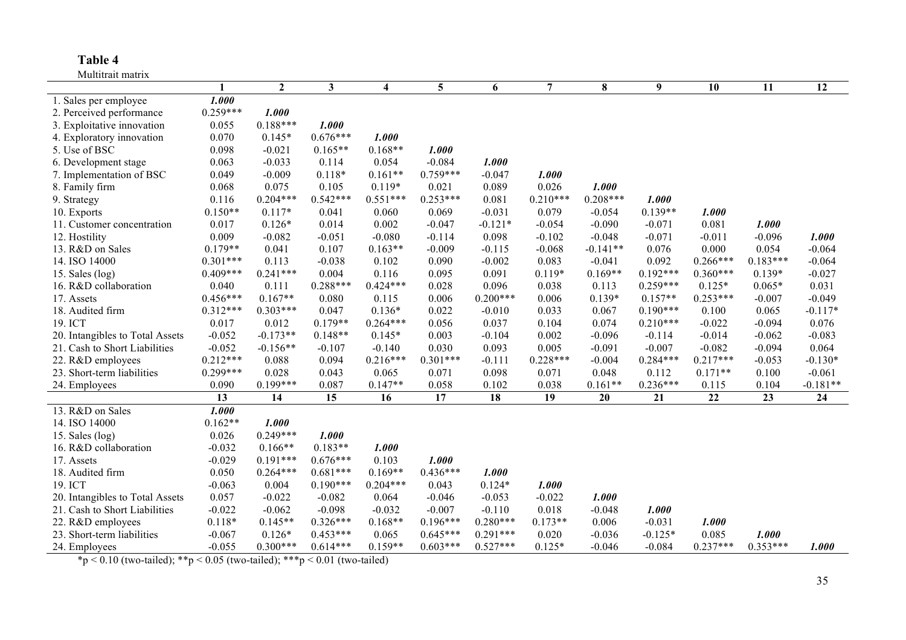Multitrait matrix

| $\boldsymbol{2}$<br>$\mathbf{3}$<br>5<br>$\overline{7}$<br>8<br>9<br>6<br>10<br>11<br>12<br>$\mathbf{1}$<br>$\overline{\mathbf{4}}$<br>1.000<br>1. Sales per employee<br>$0.259***$<br>1.000<br>2. Perceived performance<br>$0.188***$<br>1.000<br>3. Exploitative innovation<br>0.055<br>0.070<br>$0.145*$<br>$0.676***$<br>1.000<br>4. Exploratory innovation<br>$0.165**$<br>$0.168**$<br>5. Use of BSC<br>0.098<br>$-0.021$<br>1.000<br>$-0.084$<br>6. Development stage<br>0.063<br>$-0.033$<br>0.114<br>0.054<br>1.000<br>$0.759***$<br>$0.118*$<br>$0.161**$<br>$-0.047$<br>7. Implementation of BSC<br>0.049<br>$-0.009$<br>1.000<br>0.026<br>0.075<br>0.105<br>$0.119*$<br>0.021<br>0.089<br>1.000<br>8. Family firm<br>0.068<br>$0.542***$<br>$0.551***$<br>$0.253***$<br>$0.210***$<br>$0.208***$<br>9. Strategy<br>$0.204***$<br>0.081<br>1.000<br>0.116<br>$0.150**$<br>$0.139**$<br>10. Exports<br>$0.117*$<br>0.069<br>$-0.031$<br>0.079<br>0.041<br>0.060<br>$-0.054$<br>1.000<br>$-0.047$<br>$-0.121*$<br>$-0.054$<br>$-0.090$<br>0.081<br>0.017<br>$0.126*$<br>0.014<br>0.002<br>$-0.071$<br>1.000<br>11. Customer concentration<br>0.009<br>12. Hostility<br>$-0.082$<br>$-0.051$<br>$-0.080$<br>$-0.114$<br>0.098<br>$-0.102$<br>$-0.048$<br>$-0.071$<br>$-0.011$<br>$-0.096$<br>1.000<br>$-0.009$<br>$-0.068$<br>0.076<br>$0.179**$<br>0.041<br>0.107<br>$0.163**$<br>$-0.115$<br>$-0.141**$<br>0.000<br>0.054<br>$-0.064$<br>13. R&D on Sales<br>0.083<br>0.092<br>14. ISO 14000<br>$0.301***$<br>0.113<br>$-0.038$<br>0.102<br>0.090<br>$-0.002$<br>$-0.041$<br>$0.266***$<br>$0.183***$<br>$-0.064$<br>15. Sales $(log)$<br>$0.409***$<br>$0.241***$<br>0.095<br>0.091<br>$0.119*$<br>$0.169**$<br>$-0.027$<br>0.004<br>0.116<br>$0.192***$<br>$0.360***$<br>$0.139*$<br>$0.288***$<br>$0.424***$<br>0.028<br>0.038<br>$0.259***$<br>$0.125*$<br>0.031<br>16. R&D collaboration<br>0.040<br>0.111<br>0.096<br>0.113<br>$0.065*$<br>$0.167**$<br>17. Assets<br>$0.456***$<br>0.006<br>$0.200***$<br>0.006<br>$0.139*$<br>$0.157**$<br>$0.253***$<br>$-0.049$<br>0.080<br>0.115<br>$-0.007$<br>$0.303***$<br>0.033<br>18. Audited firm<br>$0.312***$<br>0.047<br>$0.136*$<br>0.022<br>$-0.010$<br>0.067<br>$0.190***$<br>0.065<br>$-0.117*$<br>0.100<br>19. ICT<br>0.017<br>0.012<br>$0.179**$<br>$0.264***$<br>0.056<br>0.037<br>0.104<br>0.074<br>$0.210***$<br>$-0.022$<br>$-0.094$<br>0.076<br>$-0.173**$<br>0.002<br>20. Intangibles to Total Assets<br>$-0.052$<br>$0.148**$<br>$0.145*$<br>0.003<br>$-0.104$<br>$-0.096$<br>$-0.114$<br>$-0.014$<br>$-0.062$<br>$-0.083$<br>$-0.052$<br>$-0.156**$<br>$-0.140$<br>0.030<br>0.093<br>0.005<br>$-0.091$<br>$-0.007$<br>$-0.082$<br>$-0.094$<br>0.064<br>21. Cash to Short Liabilities<br>$-0.107$<br>$0.212***$<br>$0.216***$<br>$0.301***$<br>$-0.111$<br>$0.228***$<br>$0.217***$<br>22. R&D employees<br>0.088<br>0.094<br>$-0.004$<br>$0.284***$<br>$-0.053$<br>$-0.130*$<br>$0.299***$<br>$0.171**$<br>23. Short-term liabilities<br>0.028<br>0.043<br>0.065<br>0.071<br>0.098<br>0.071<br>0.048<br>0.112<br>0.100<br>$-0.061$<br>24. Employees<br>0.090<br>$0.199***$<br>0.087<br>$0.147**$<br>0.058<br>0.102<br>0.038<br>$0.161**$<br>$0.236***$<br>0.104<br>$-0.181**$<br>0.115<br>13<br>17<br>19<br>22<br>14<br>15<br>16<br>18<br>21<br>23<br>24<br>20<br>13. R&D on Sales<br>1.000<br>14. ISO 14000<br>$0.162**$<br>1.000<br>$0.249***$<br>15. Sales (log)<br>0.026<br>1.000<br>$0.166**$<br>$0.183**$<br>16. R&D collaboration<br>$-0.032$<br>1.000 |
|-------------------------------------------------------------------------------------------------------------------------------------------------------------------------------------------------------------------------------------------------------------------------------------------------------------------------------------------------------------------------------------------------------------------------------------------------------------------------------------------------------------------------------------------------------------------------------------------------------------------------------------------------------------------------------------------------------------------------------------------------------------------------------------------------------------------------------------------------------------------------------------------------------------------------------------------------------------------------------------------------------------------------------------------------------------------------------------------------------------------------------------------------------------------------------------------------------------------------------------------------------------------------------------------------------------------------------------------------------------------------------------------------------------------------------------------------------------------------------------------------------------------------------------------------------------------------------------------------------------------------------------------------------------------------------------------------------------------------------------------------------------------------------------------------------------------------------------------------------------------------------------------------------------------------------------------------------------------------------------------------------------------------------------------------------------------------------------------------------------------------------------------------------------------------------------------------------------------------------------------------------------------------------------------------------------------------------------------------------------------------------------------------------------------------------------------------------------------------------------------------------------------------------------------------------------------------------------------------------------------------------------------------------------------------------------------------------------------------------------------------------------------------------------------------------------------------------------------------------------------------------------------------------------------------------------------------------------------------------------------------------------------------------------------------------------------------------------------------------------------------------------------------------------------------------------------------------------------------------------------------------------------------------------------------------------------------------------------------------------------------------------------------------------------------------------------------------------------------------------------------------------------------------------------|
|                                                                                                                                                                                                                                                                                                                                                                                                                                                                                                                                                                                                                                                                                                                                                                                                                                                                                                                                                                                                                                                                                                                                                                                                                                                                                                                                                                                                                                                                                                                                                                                                                                                                                                                                                                                                                                                                                                                                                                                                                                                                                                                                                                                                                                                                                                                                                                                                                                                                                                                                                                                                                                                                                                                                                                                                                                                                                                                                                                                                                                                                                                                                                                                                                                                                                                                                                                                                                                                                                                                                           |
|                                                                                                                                                                                                                                                                                                                                                                                                                                                                                                                                                                                                                                                                                                                                                                                                                                                                                                                                                                                                                                                                                                                                                                                                                                                                                                                                                                                                                                                                                                                                                                                                                                                                                                                                                                                                                                                                                                                                                                                                                                                                                                                                                                                                                                                                                                                                                                                                                                                                                                                                                                                                                                                                                                                                                                                                                                                                                                                                                                                                                                                                                                                                                                                                                                                                                                                                                                                                                                                                                                                                           |
|                                                                                                                                                                                                                                                                                                                                                                                                                                                                                                                                                                                                                                                                                                                                                                                                                                                                                                                                                                                                                                                                                                                                                                                                                                                                                                                                                                                                                                                                                                                                                                                                                                                                                                                                                                                                                                                                                                                                                                                                                                                                                                                                                                                                                                                                                                                                                                                                                                                                                                                                                                                                                                                                                                                                                                                                                                                                                                                                                                                                                                                                                                                                                                                                                                                                                                                                                                                                                                                                                                                                           |
|                                                                                                                                                                                                                                                                                                                                                                                                                                                                                                                                                                                                                                                                                                                                                                                                                                                                                                                                                                                                                                                                                                                                                                                                                                                                                                                                                                                                                                                                                                                                                                                                                                                                                                                                                                                                                                                                                                                                                                                                                                                                                                                                                                                                                                                                                                                                                                                                                                                                                                                                                                                                                                                                                                                                                                                                                                                                                                                                                                                                                                                                                                                                                                                                                                                                                                                                                                                                                                                                                                                                           |
|                                                                                                                                                                                                                                                                                                                                                                                                                                                                                                                                                                                                                                                                                                                                                                                                                                                                                                                                                                                                                                                                                                                                                                                                                                                                                                                                                                                                                                                                                                                                                                                                                                                                                                                                                                                                                                                                                                                                                                                                                                                                                                                                                                                                                                                                                                                                                                                                                                                                                                                                                                                                                                                                                                                                                                                                                                                                                                                                                                                                                                                                                                                                                                                                                                                                                                                                                                                                                                                                                                                                           |
|                                                                                                                                                                                                                                                                                                                                                                                                                                                                                                                                                                                                                                                                                                                                                                                                                                                                                                                                                                                                                                                                                                                                                                                                                                                                                                                                                                                                                                                                                                                                                                                                                                                                                                                                                                                                                                                                                                                                                                                                                                                                                                                                                                                                                                                                                                                                                                                                                                                                                                                                                                                                                                                                                                                                                                                                                                                                                                                                                                                                                                                                                                                                                                                                                                                                                                                                                                                                                                                                                                                                           |
|                                                                                                                                                                                                                                                                                                                                                                                                                                                                                                                                                                                                                                                                                                                                                                                                                                                                                                                                                                                                                                                                                                                                                                                                                                                                                                                                                                                                                                                                                                                                                                                                                                                                                                                                                                                                                                                                                                                                                                                                                                                                                                                                                                                                                                                                                                                                                                                                                                                                                                                                                                                                                                                                                                                                                                                                                                                                                                                                                                                                                                                                                                                                                                                                                                                                                                                                                                                                                                                                                                                                           |
|                                                                                                                                                                                                                                                                                                                                                                                                                                                                                                                                                                                                                                                                                                                                                                                                                                                                                                                                                                                                                                                                                                                                                                                                                                                                                                                                                                                                                                                                                                                                                                                                                                                                                                                                                                                                                                                                                                                                                                                                                                                                                                                                                                                                                                                                                                                                                                                                                                                                                                                                                                                                                                                                                                                                                                                                                                                                                                                                                                                                                                                                                                                                                                                                                                                                                                                                                                                                                                                                                                                                           |
|                                                                                                                                                                                                                                                                                                                                                                                                                                                                                                                                                                                                                                                                                                                                                                                                                                                                                                                                                                                                                                                                                                                                                                                                                                                                                                                                                                                                                                                                                                                                                                                                                                                                                                                                                                                                                                                                                                                                                                                                                                                                                                                                                                                                                                                                                                                                                                                                                                                                                                                                                                                                                                                                                                                                                                                                                                                                                                                                                                                                                                                                                                                                                                                                                                                                                                                                                                                                                                                                                                                                           |
|                                                                                                                                                                                                                                                                                                                                                                                                                                                                                                                                                                                                                                                                                                                                                                                                                                                                                                                                                                                                                                                                                                                                                                                                                                                                                                                                                                                                                                                                                                                                                                                                                                                                                                                                                                                                                                                                                                                                                                                                                                                                                                                                                                                                                                                                                                                                                                                                                                                                                                                                                                                                                                                                                                                                                                                                                                                                                                                                                                                                                                                                                                                                                                                                                                                                                                                                                                                                                                                                                                                                           |
|                                                                                                                                                                                                                                                                                                                                                                                                                                                                                                                                                                                                                                                                                                                                                                                                                                                                                                                                                                                                                                                                                                                                                                                                                                                                                                                                                                                                                                                                                                                                                                                                                                                                                                                                                                                                                                                                                                                                                                                                                                                                                                                                                                                                                                                                                                                                                                                                                                                                                                                                                                                                                                                                                                                                                                                                                                                                                                                                                                                                                                                                                                                                                                                                                                                                                                                                                                                                                                                                                                                                           |
|                                                                                                                                                                                                                                                                                                                                                                                                                                                                                                                                                                                                                                                                                                                                                                                                                                                                                                                                                                                                                                                                                                                                                                                                                                                                                                                                                                                                                                                                                                                                                                                                                                                                                                                                                                                                                                                                                                                                                                                                                                                                                                                                                                                                                                                                                                                                                                                                                                                                                                                                                                                                                                                                                                                                                                                                                                                                                                                                                                                                                                                                                                                                                                                                                                                                                                                                                                                                                                                                                                                                           |
|                                                                                                                                                                                                                                                                                                                                                                                                                                                                                                                                                                                                                                                                                                                                                                                                                                                                                                                                                                                                                                                                                                                                                                                                                                                                                                                                                                                                                                                                                                                                                                                                                                                                                                                                                                                                                                                                                                                                                                                                                                                                                                                                                                                                                                                                                                                                                                                                                                                                                                                                                                                                                                                                                                                                                                                                                                                                                                                                                                                                                                                                                                                                                                                                                                                                                                                                                                                                                                                                                                                                           |
|                                                                                                                                                                                                                                                                                                                                                                                                                                                                                                                                                                                                                                                                                                                                                                                                                                                                                                                                                                                                                                                                                                                                                                                                                                                                                                                                                                                                                                                                                                                                                                                                                                                                                                                                                                                                                                                                                                                                                                                                                                                                                                                                                                                                                                                                                                                                                                                                                                                                                                                                                                                                                                                                                                                                                                                                                                                                                                                                                                                                                                                                                                                                                                                                                                                                                                                                                                                                                                                                                                                                           |
|                                                                                                                                                                                                                                                                                                                                                                                                                                                                                                                                                                                                                                                                                                                                                                                                                                                                                                                                                                                                                                                                                                                                                                                                                                                                                                                                                                                                                                                                                                                                                                                                                                                                                                                                                                                                                                                                                                                                                                                                                                                                                                                                                                                                                                                                                                                                                                                                                                                                                                                                                                                                                                                                                                                                                                                                                                                                                                                                                                                                                                                                                                                                                                                                                                                                                                                                                                                                                                                                                                                                           |
|                                                                                                                                                                                                                                                                                                                                                                                                                                                                                                                                                                                                                                                                                                                                                                                                                                                                                                                                                                                                                                                                                                                                                                                                                                                                                                                                                                                                                                                                                                                                                                                                                                                                                                                                                                                                                                                                                                                                                                                                                                                                                                                                                                                                                                                                                                                                                                                                                                                                                                                                                                                                                                                                                                                                                                                                                                                                                                                                                                                                                                                                                                                                                                                                                                                                                                                                                                                                                                                                                                                                           |
|                                                                                                                                                                                                                                                                                                                                                                                                                                                                                                                                                                                                                                                                                                                                                                                                                                                                                                                                                                                                                                                                                                                                                                                                                                                                                                                                                                                                                                                                                                                                                                                                                                                                                                                                                                                                                                                                                                                                                                                                                                                                                                                                                                                                                                                                                                                                                                                                                                                                                                                                                                                                                                                                                                                                                                                                                                                                                                                                                                                                                                                                                                                                                                                                                                                                                                                                                                                                                                                                                                                                           |
|                                                                                                                                                                                                                                                                                                                                                                                                                                                                                                                                                                                                                                                                                                                                                                                                                                                                                                                                                                                                                                                                                                                                                                                                                                                                                                                                                                                                                                                                                                                                                                                                                                                                                                                                                                                                                                                                                                                                                                                                                                                                                                                                                                                                                                                                                                                                                                                                                                                                                                                                                                                                                                                                                                                                                                                                                                                                                                                                                                                                                                                                                                                                                                                                                                                                                                                                                                                                                                                                                                                                           |
|                                                                                                                                                                                                                                                                                                                                                                                                                                                                                                                                                                                                                                                                                                                                                                                                                                                                                                                                                                                                                                                                                                                                                                                                                                                                                                                                                                                                                                                                                                                                                                                                                                                                                                                                                                                                                                                                                                                                                                                                                                                                                                                                                                                                                                                                                                                                                                                                                                                                                                                                                                                                                                                                                                                                                                                                                                                                                                                                                                                                                                                                                                                                                                                                                                                                                                                                                                                                                                                                                                                                           |
|                                                                                                                                                                                                                                                                                                                                                                                                                                                                                                                                                                                                                                                                                                                                                                                                                                                                                                                                                                                                                                                                                                                                                                                                                                                                                                                                                                                                                                                                                                                                                                                                                                                                                                                                                                                                                                                                                                                                                                                                                                                                                                                                                                                                                                                                                                                                                                                                                                                                                                                                                                                                                                                                                                                                                                                                                                                                                                                                                                                                                                                                                                                                                                                                                                                                                                                                                                                                                                                                                                                                           |
|                                                                                                                                                                                                                                                                                                                                                                                                                                                                                                                                                                                                                                                                                                                                                                                                                                                                                                                                                                                                                                                                                                                                                                                                                                                                                                                                                                                                                                                                                                                                                                                                                                                                                                                                                                                                                                                                                                                                                                                                                                                                                                                                                                                                                                                                                                                                                                                                                                                                                                                                                                                                                                                                                                                                                                                                                                                                                                                                                                                                                                                                                                                                                                                                                                                                                                                                                                                                                                                                                                                                           |
|                                                                                                                                                                                                                                                                                                                                                                                                                                                                                                                                                                                                                                                                                                                                                                                                                                                                                                                                                                                                                                                                                                                                                                                                                                                                                                                                                                                                                                                                                                                                                                                                                                                                                                                                                                                                                                                                                                                                                                                                                                                                                                                                                                                                                                                                                                                                                                                                                                                                                                                                                                                                                                                                                                                                                                                                                                                                                                                                                                                                                                                                                                                                                                                                                                                                                                                                                                                                                                                                                                                                           |
|                                                                                                                                                                                                                                                                                                                                                                                                                                                                                                                                                                                                                                                                                                                                                                                                                                                                                                                                                                                                                                                                                                                                                                                                                                                                                                                                                                                                                                                                                                                                                                                                                                                                                                                                                                                                                                                                                                                                                                                                                                                                                                                                                                                                                                                                                                                                                                                                                                                                                                                                                                                                                                                                                                                                                                                                                                                                                                                                                                                                                                                                                                                                                                                                                                                                                                                                                                                                                                                                                                                                           |
|                                                                                                                                                                                                                                                                                                                                                                                                                                                                                                                                                                                                                                                                                                                                                                                                                                                                                                                                                                                                                                                                                                                                                                                                                                                                                                                                                                                                                                                                                                                                                                                                                                                                                                                                                                                                                                                                                                                                                                                                                                                                                                                                                                                                                                                                                                                                                                                                                                                                                                                                                                                                                                                                                                                                                                                                                                                                                                                                                                                                                                                                                                                                                                                                                                                                                                                                                                                                                                                                                                                                           |
|                                                                                                                                                                                                                                                                                                                                                                                                                                                                                                                                                                                                                                                                                                                                                                                                                                                                                                                                                                                                                                                                                                                                                                                                                                                                                                                                                                                                                                                                                                                                                                                                                                                                                                                                                                                                                                                                                                                                                                                                                                                                                                                                                                                                                                                                                                                                                                                                                                                                                                                                                                                                                                                                                                                                                                                                                                                                                                                                                                                                                                                                                                                                                                                                                                                                                                                                                                                                                                                                                                                                           |
|                                                                                                                                                                                                                                                                                                                                                                                                                                                                                                                                                                                                                                                                                                                                                                                                                                                                                                                                                                                                                                                                                                                                                                                                                                                                                                                                                                                                                                                                                                                                                                                                                                                                                                                                                                                                                                                                                                                                                                                                                                                                                                                                                                                                                                                                                                                                                                                                                                                                                                                                                                                                                                                                                                                                                                                                                                                                                                                                                                                                                                                                                                                                                                                                                                                                                                                                                                                                                                                                                                                                           |
|                                                                                                                                                                                                                                                                                                                                                                                                                                                                                                                                                                                                                                                                                                                                                                                                                                                                                                                                                                                                                                                                                                                                                                                                                                                                                                                                                                                                                                                                                                                                                                                                                                                                                                                                                                                                                                                                                                                                                                                                                                                                                                                                                                                                                                                                                                                                                                                                                                                                                                                                                                                                                                                                                                                                                                                                                                                                                                                                                                                                                                                                                                                                                                                                                                                                                                                                                                                                                                                                                                                                           |
|                                                                                                                                                                                                                                                                                                                                                                                                                                                                                                                                                                                                                                                                                                                                                                                                                                                                                                                                                                                                                                                                                                                                                                                                                                                                                                                                                                                                                                                                                                                                                                                                                                                                                                                                                                                                                                                                                                                                                                                                                                                                                                                                                                                                                                                                                                                                                                                                                                                                                                                                                                                                                                                                                                                                                                                                                                                                                                                                                                                                                                                                                                                                                                                                                                                                                                                                                                                                                                                                                                                                           |
|                                                                                                                                                                                                                                                                                                                                                                                                                                                                                                                                                                                                                                                                                                                                                                                                                                                                                                                                                                                                                                                                                                                                                                                                                                                                                                                                                                                                                                                                                                                                                                                                                                                                                                                                                                                                                                                                                                                                                                                                                                                                                                                                                                                                                                                                                                                                                                                                                                                                                                                                                                                                                                                                                                                                                                                                                                                                                                                                                                                                                                                                                                                                                                                                                                                                                                                                                                                                                                                                                                                                           |
|                                                                                                                                                                                                                                                                                                                                                                                                                                                                                                                                                                                                                                                                                                                                                                                                                                                                                                                                                                                                                                                                                                                                                                                                                                                                                                                                                                                                                                                                                                                                                                                                                                                                                                                                                                                                                                                                                                                                                                                                                                                                                                                                                                                                                                                                                                                                                                                                                                                                                                                                                                                                                                                                                                                                                                                                                                                                                                                                                                                                                                                                                                                                                                                                                                                                                                                                                                                                                                                                                                                                           |
| $0.191***$<br>$0.676***$<br>0.103<br>17. Assets<br>$-0.029$<br>1.000                                                                                                                                                                                                                                                                                                                                                                                                                                                                                                                                                                                                                                                                                                                                                                                                                                                                                                                                                                                                                                                                                                                                                                                                                                                                                                                                                                                                                                                                                                                                                                                                                                                                                                                                                                                                                                                                                                                                                                                                                                                                                                                                                                                                                                                                                                                                                                                                                                                                                                                                                                                                                                                                                                                                                                                                                                                                                                                                                                                                                                                                                                                                                                                                                                                                                                                                                                                                                                                                      |
| $0.264***$<br>$0.681***$<br>$0.169**$<br>$0.436***$<br>18. Audited firm<br>0.050<br>1.000                                                                                                                                                                                                                                                                                                                                                                                                                                                                                                                                                                                                                                                                                                                                                                                                                                                                                                                                                                                                                                                                                                                                                                                                                                                                                                                                                                                                                                                                                                                                                                                                                                                                                                                                                                                                                                                                                                                                                                                                                                                                                                                                                                                                                                                                                                                                                                                                                                                                                                                                                                                                                                                                                                                                                                                                                                                                                                                                                                                                                                                                                                                                                                                                                                                                                                                                                                                                                                                 |
| 19. ICT<br>$0.190***$<br>$0.204***$<br>$0.124*$<br>$-0.063$<br>0.004<br>0.043<br>1.000                                                                                                                                                                                                                                                                                                                                                                                                                                                                                                                                                                                                                                                                                                                                                                                                                                                                                                                                                                                                                                                                                                                                                                                                                                                                                                                                                                                                                                                                                                                                                                                                                                                                                                                                                                                                                                                                                                                                                                                                                                                                                                                                                                                                                                                                                                                                                                                                                                                                                                                                                                                                                                                                                                                                                                                                                                                                                                                                                                                                                                                                                                                                                                                                                                                                                                                                                                                                                                                    |
| $-0.022$<br>0.057<br>$-0.053$<br>1.000<br>20. Intangibles to Total Assets<br>$-0.022$<br>$-0.082$<br>0.064<br>$-0.046$                                                                                                                                                                                                                                                                                                                                                                                                                                                                                                                                                                                                                                                                                                                                                                                                                                                                                                                                                                                                                                                                                                                                                                                                                                                                                                                                                                                                                                                                                                                                                                                                                                                                                                                                                                                                                                                                                                                                                                                                                                                                                                                                                                                                                                                                                                                                                                                                                                                                                                                                                                                                                                                                                                                                                                                                                                                                                                                                                                                                                                                                                                                                                                                                                                                                                                                                                                                                                    |
| $-0.007$<br>0.018<br>$-0.022$<br>$-0.062$<br>$-0.098$<br>$-0.032$<br>$-0.110$<br>$-0.048$<br>1.000<br>21. Cash to Short Liabilities                                                                                                                                                                                                                                                                                                                                                                                                                                                                                                                                                                                                                                                                                                                                                                                                                                                                                                                                                                                                                                                                                                                                                                                                                                                                                                                                                                                                                                                                                                                                                                                                                                                                                                                                                                                                                                                                                                                                                                                                                                                                                                                                                                                                                                                                                                                                                                                                                                                                                                                                                                                                                                                                                                                                                                                                                                                                                                                                                                                                                                                                                                                                                                                                                                                                                                                                                                                                       |
| $0.118*$<br>$0.145**$<br>$0.326***$<br>$0.168**$<br>$0.196***$<br>$0.173**$<br>0.006<br>$-0.031$<br>22. R&D employees<br>$0.280***$<br>1.000                                                                                                                                                                                                                                                                                                                                                                                                                                                                                                                                                                                                                                                                                                                                                                                                                                                                                                                                                                                                                                                                                                                                                                                                                                                                                                                                                                                                                                                                                                                                                                                                                                                                                                                                                                                                                                                                                                                                                                                                                                                                                                                                                                                                                                                                                                                                                                                                                                                                                                                                                                                                                                                                                                                                                                                                                                                                                                                                                                                                                                                                                                                                                                                                                                                                                                                                                                                              |
| 23. Short-term liabilities<br>$-0.067$<br>$0.126*$<br>$0.453***$<br>0.065<br>$0.645***$<br>$0.291***$<br>0.020<br>$-0.036$<br>$-0.125*$<br>0.085<br>1.000                                                                                                                                                                                                                                                                                                                                                                                                                                                                                                                                                                                                                                                                                                                                                                                                                                                                                                                                                                                                                                                                                                                                                                                                                                                                                                                                                                                                                                                                                                                                                                                                                                                                                                                                                                                                                                                                                                                                                                                                                                                                                                                                                                                                                                                                                                                                                                                                                                                                                                                                                                                                                                                                                                                                                                                                                                                                                                                                                                                                                                                                                                                                                                                                                                                                                                                                                                                 |
| $0.300***$<br>$0.614***$<br>$0.159**$<br>$0.603***$<br>$0.527***$<br>$0.353***$<br>24. Employees<br>$-0.055$<br>$0.125*$<br>$-0.046$<br>$-0.084$<br>$0.237***$<br>1.000<br>$\frac{k_n}{20}$ 10 (two toiled); $\frac{k_n}{20}$ 6 (two toiled); $\frac{k_n}{20}$ 6 01 (two toiled)                                                                                                                                                                                                                                                                                                                                                                                                                                                                                                                                                                                                                                                                                                                                                                                                                                                                                                                                                                                                                                                                                                                                                                                                                                                                                                                                                                                                                                                                                                                                                                                                                                                                                                                                                                                                                                                                                                                                                                                                                                                                                                                                                                                                                                                                                                                                                                                                                                                                                                                                                                                                                                                                                                                                                                                                                                                                                                                                                                                                                                                                                                                                                                                                                                                          |

 $*p < 0.10$  (two-tailed);  $* p < 0.05$  (two-tailed);  $* * p < 0.01$  (two-tailed)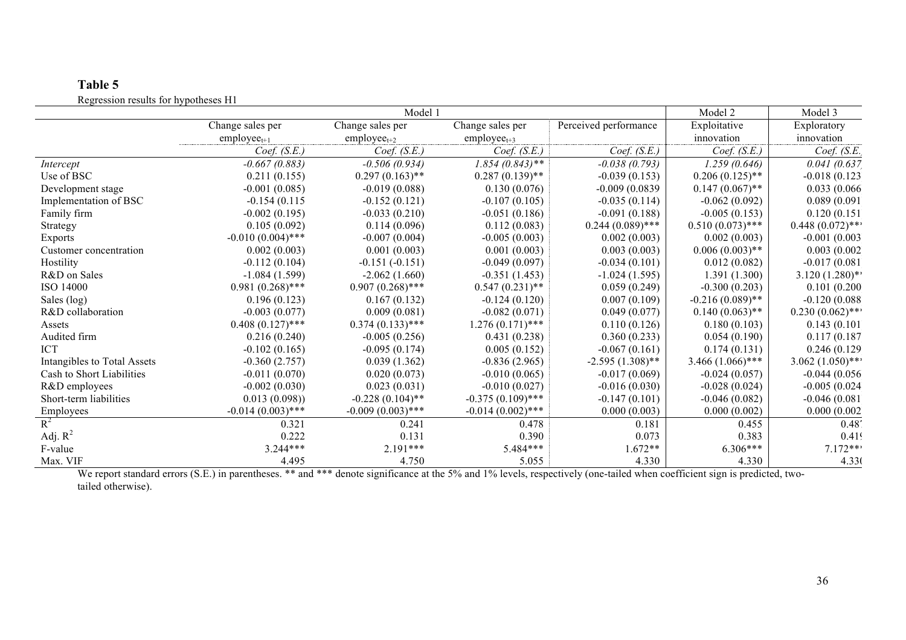# **Table 5** Regression results for hypotheses H1

|                             |                         | Model 1                 |                         |                       | Model 2            | Model 3            |
|-----------------------------|-------------------------|-------------------------|-------------------------|-----------------------|--------------------|--------------------|
|                             | Change sales per        | Change sales per        | Change sales per        | Perceived performance | Exploitative       | Exploratory        |
|                             | $\text{employee}_{t+1}$ | $\text{employee}_{t+2}$ | $\text{employee}_{t+3}$ |                       | innovation         | innovation         |
|                             | Coef. (S.E.)            | Coef. (S.E.)            | Coef. (S.E.)            | Coef. (S.E.)          | Coef. (S.E.)       | Coef. $(S.E.$      |
| Intercept                   | $-0.667(0.883)$         | $-0.506(0.934)$         | $1.854(0.843)$ **       | $-0.038(0.793)$       | 1.259(0.646)       | 0.041(0.637)       |
| Use of BSC                  | 0.211(0.155)            | $0.297(0.163)$ **       | $0.287(0.139)$ **       | $-0.039(0.153)$       | $0.206(0.125)$ **  | $-0.018(0.123)$    |
| Development stage           | $-0.001(0.085)$         | $-0.019(0.088)$         | 0.130(0.076)            | $-0.009(0.0839)$      | $0.147(0.067)$ **  | 0.033(0.066)       |
| Implementation of BSC       | $-0.154(0.115$          | $-0.152(0.121)$         | $-0.107(0.105)$         | $-0.035(0.114)$       | $-0.062(0.092)$    | 0.089(0.091)       |
| Family firm                 | $-0.002(0.195)$         | $-0.033(0.210)$         | $-0.051(0.186)$         | $-0.091(0.188)$       | $-0.005(0.153)$    | 0.120(0.151)       |
| Strategy                    | 0.105(0.092)            | 0.114(0.096)            | 0.112(0.083)            | $0.244(0.089)$ ***    | $0.510(0.073)$ *** | $0.448(0.072)$ *** |
| Exports                     | $-0.010(0.004)$ ***     | $-0.007(0.004)$         | $-0.005(0.003)$         | 0.002(0.003)          | 0.002(0.003)       | $-0.001(0.003)$    |
| Customer concentration      | 0.002(0.003)            | 0.001(0.003)            | 0.001(0.003)            | 0.003(0.003)          | $0.006(0.003)$ **  | 0.003(0.002)       |
| Hostility                   | $-0.112(0.104)$         | $-0.151(-0.151)$        | $-0.049(0.097)$         | $-0.034(0.101)$       | 0.012(0.082)       | $-0.017(0.081)$    |
| R&D on Sales                | $-1.084(1.599)$         | $-2.062(1.660)$         | $-0.351(1.453)$         | $-1.024(1.595)$       | 1.391 (1.300)      | $3.120(1.280)$ **  |
| ISO 14000                   | $0.981(0.268)$ ***      | $0.907(0.268)$ ***      | $0.547(0.231)$ **       | 0.059(0.249)          | $-0.300(0.203)$    | 0.101(0.200)       |
| Sales (log)                 | 0.196(0.123)            | 0.167(0.132)            | $-0.124(0.120)$         | 0.007(0.109)          | $-0.216(0.089)$ ** | $-0.120(0.088)$    |
| R&D collaboration           | $-0.003(0.077)$         | 0.009(0.081)            | $-0.082(0.071)$         | 0.049(0.077)          | $0.140(0.063)$ **  | $0.230(0.062)$ *** |
| Assets                      | $0.408(0.127)$ ***      | $0.374(0.133)$ ***      | $1.276(0.171)$ ***      | 0.110(0.126)          | 0.180(0.103)       | 0.143(0.101)       |
| Audited firm                | 0.216(0.240)            | $-0.005(0.256)$         | 0.431(0.238)            | 0.360(0.233)          | 0.054(0.190)       | 0.117(0.187)       |
| <b>ICT</b>                  | $-0.102(0.165)$         | $-0.095(0.174)$         | 0.005(0.152)            | $-0.067(0.161)$       | 0.174(0.131)       | 0.246(0.129)       |
| Intangibles to Total Assets | $-0.360(2.757)$         | 0.039(1.362)            | $-0.836(2.965)$         | $-2.595(1.308)$ **    | $3.466(1.066)$ *** | $3.062(1.050)$ *** |
| Cash to Short Liabilities   | $-0.011(0.070)$         | 0.020(0.073)            | $-0.010(0.065)$         | $-0.017(0.069)$       | $-0.024(0.057)$    | $-0.044(0.056)$    |
| R&D employees               | $-0.002(0.030)$         | 0.023(0.031)            | $-0.010(0.027)$         | $-0.016(0.030)$       | $-0.028(0.024)$    | $-0.005(0.024)$    |
| Short-term liabilities      | 0.013(0.098)            | $-0.228(0.104)$ **      | $-0.375(0.109)$ ***     | $-0.147(0.101)$       | $-0.046(0.082)$    | $-0.046(0.081)$    |
| Employees                   | $-0.014(0.003)$ ***     | $-0.009(0.003)$ ***     | $-0.014(0.002)$ ***     | 0.000(0.003)          | 0.000(0.002)       | 0.000(0.002)       |
| $R^2$                       | 0.321                   | 0.241                   | 0.478                   | 0.181                 | 0.455              | $0.48^{\circ}$     |
| Adj. $R^2$                  | 0.222                   | 0.131                   | 0.390                   | 0.073                 | 0.383              | 0.419              |
| F-value                     | $3.244***$              | $2.191***$              | $5.484***$              | $1.672**$             | $6.306***$         | $7.172***$         |
| Max. VIF                    | 4.495                   | 4.750                   | 5.055                   | 4.330                 | 4.330              | 4.330              |

We report standard errors (S.E.) in parentheses. \*\* and \*\*\* denote significance at the 5% and 1% levels, respectively (one-tailed when coefficient sign is predicted, twotailed otherwise).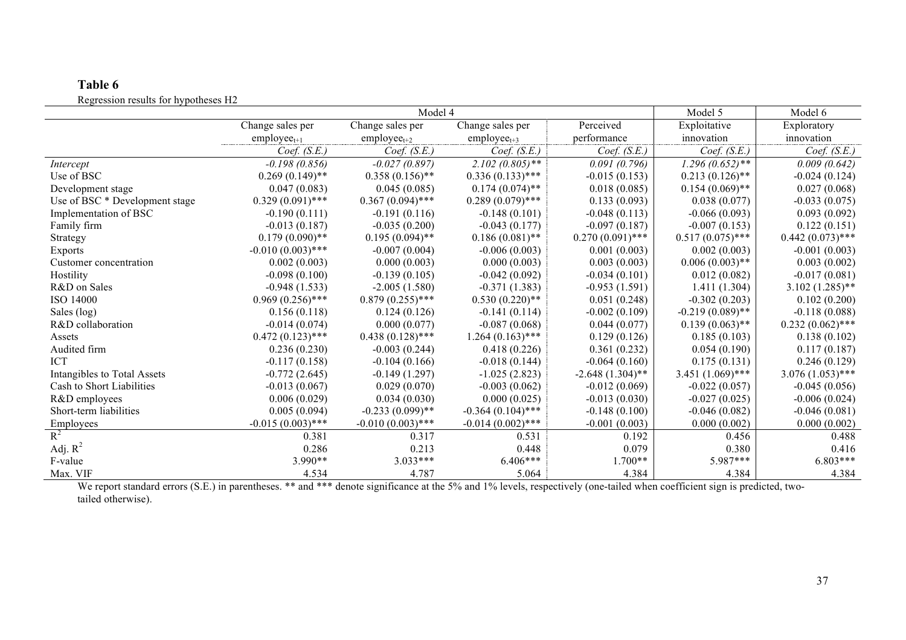# **Table 6** Regression results for hypotheses H2

|                                |                         | Model 5                 | Model 6                 |                    |                    |                    |
|--------------------------------|-------------------------|-------------------------|-------------------------|--------------------|--------------------|--------------------|
|                                | Change sales per        | Change sales per        | Change sales per        | Perceived          | Exploitative       | Exploratory        |
|                                | $\text{employee}_{t+1}$ | $\text{employee}_{t+2}$ | $\text{employee}_{t+3}$ | performance        | innovation         | innovation         |
|                                | Coef. $(S.E.)$          | Coef. $(S.E.)$          | Coef. (S.E.)            | Coef. $(S.E.)$     | Coef. (S.E.)       | Coef. $(S.E.)$     |
| Intercept                      | $-0.198(0.856)$         | $-0.027(0.897)$         | $2.102(0.805)$ **       | 0.091(0.796)       | $1.296(0.652)$ **  | 0.009(0.642)       |
| Use of BSC                     | $0.269(0.149)$ **       | $0.358(0.156)$ **       | $0.336(0.133)$ ***      | $-0.015(0.153)$    | $0.213(0.126)$ **  | $-0.024(0.124)$    |
| Development stage              | 0.047(0.083)            | 0.045(0.085)            | $0.174(0.074)$ **       | 0.018(0.085)       | $0.154(0.069)$ **  | 0.027(0.068)       |
| Use of BSC * Development stage | $0.329(0.091)$ ***      | $0.367(0.094)$ ***      | $0.289(0.079)$ ***      | 0.133(0.093)       | 0.038(0.077)       | $-0.033(0.075)$    |
| Implementation of BSC          | $-0.190(0.111)$         | $-0.191(0.116)$         | $-0.148(0.101)$         | $-0.048(0.113)$    | $-0.066(0.093)$    | 0.093(0.092)       |
| Family firm                    | $-0.013(0.187)$         | $-0.035(0.200)$         | $-0.043(0.177)$         | $-0.097(0.187)$    | $-0.007(0.153)$    | 0.122(0.151)       |
| Strategy                       | $0.179(0.090)$ **       | $0.195(0.094)$ **       | $0.186(0.081)$ **       | $0.270(0.091)$ *** | $0.517(0.075)$ *** | $0.442(0.073)$ *** |
| <b>Exports</b>                 | $-0.010(0.003)$ ***     | $-0.007(0.004)$         | $-0.006(0.003)$         | 0.001(0.003)       | 0.002(0.003)       | $-0.001(0.003)$    |
| Customer concentration         | 0.002(0.003)            | 0.000(0.003)            | 0.000(0.003)            | 0.003(0.003)       | $0.006(0.003)$ **  | 0.003(0.002)       |
| Hostility                      | $-0.098(0.100)$         | $-0.139(0.105)$         | $-0.042(0.092)$         | $-0.034(0.101)$    | 0.012(0.082)       | $-0.017(0.081)$    |
| R&D on Sales                   | $-0.948(1.533)$         | $-2.005(1.580)$         | $-0.371(1.383)$         | $-0.953(1.591)$    | 1.411 (1.304)      | $3.102(1.285)$ **  |
| ISO 14000                      | $0.969(0.256)$ ***      | $0.879(0.255)$ ***      | $0.530(0.220)$ **       | 0.051(0.248)       | $-0.302(0.203)$    | 0.102(0.200)       |
| Sales (log)                    | 0.156(0.118)            | 0.124(0.126)            | $-0.141(0.114)$         | $-0.002(0.109)$    | $-0.219(0.089)$ ** | $-0.118(0.088)$    |
| R&D collaboration              | $-0.014(0.074)$         | 0.000(0.077)            | $-0.087(0.068)$         | 0.044(0.077)       | $0.139(0.063)$ **  | $0.232(0.062)$ *** |
| Assets                         | $0.472(0.123)$ ***      | $0.438(0.128)$ ***      | $1.264(0.163)$ ***      | 0.129(0.126)       | 0.185(0.103)       | 0.138(0.102)       |
| Audited firm                   | 0.236(0.230)            | $-0.003(0.244)$         | 0.418(0.226)            | 0.361(0.232)       | 0.054(0.190)       | 0.117(0.187)       |
| <b>ICT</b>                     | $-0.117(0.158)$         | $-0.104(0.166)$         | $-0.018(0.144)$         | $-0.064(0.160)$    | 0.175(0.131)       | 0.246(0.129)       |
| Intangibles to Total Assets    | $-0.772(2.645)$         | $-0.149(1.297)$         | $-1.025(2.823)$         | $-2.648(1.304)$ ** | $3.451(1.069)$ *** | $3.076(1.053)$ *** |
| Cash to Short Liabilities      | $-0.013(0.067)$         | 0.029(0.070)            | $-0.003(0.062)$         | $-0.012(0.069)$    | $-0.022(0.057)$    | $-0.045(0.056)$    |
| R&D employees                  | 0.006(0.029)            | 0.034(0.030)            | 0.000(0.025)            | $-0.013(0.030)$    | $-0.027(0.025)$    | $-0.006(0.024)$    |
| Short-term liabilities         | 0.005(0.094)            | $-0.233(0.099)$ **      | $-0.364(0.104)$ ***     | $-0.148(0.100)$    | $-0.046(0.082)$    | $-0.046(0.081)$    |
| Employees                      | $-0.015(0.003)$ ***     | $-0.010(0.003)$ ***     | $-0.014(0.002)$ ***     | $-0.001(0.003)$    | 0.000(0.002)       | 0.000(0.002)       |
| $R^2$                          | 0.381                   | 0.317                   | 0.531                   | 0.192              | 0.456              | 0.488              |
| Adj. $R^2$                     | 0.286                   | 0.213                   | 0.448                   | 0.079              | 0.380              | 0.416              |
| F-value                        | $3.990**$               | $3.033***$              | $6.406***$              | $1.700**$          | $5.987***$         | $6.803***$         |
| Max. VIF                       | 4.534                   | 4.787                   | 5.064                   | 4.384              | 4.384              | 4.384              |

We report standard errors (S.E.) in parentheses. \*\* and \*\*\* denote significance at the 5% and 1% levels, respectively (one-tailed when coefficient sign is predicted, twotailed otherwise).